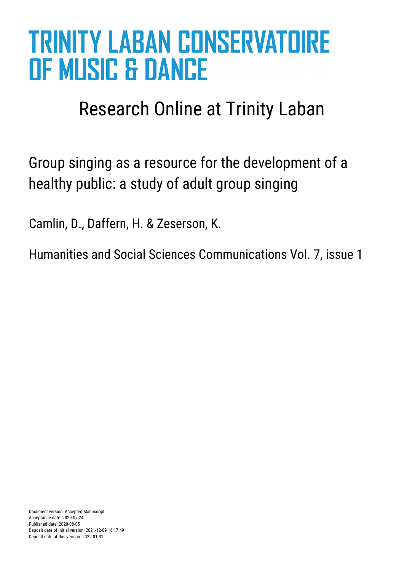# **TRINITY LABAN CONSERVATOIRE OF MUSIC & DANCE**

## Research Online at Trinity Laban

Group singing as a resource for the development of a healthy public: a study of adult group singing

Camlin, D., Daffern, H. & Zeserson, K.

Humanities and Social Sciences Communications Vol. 7, issue 1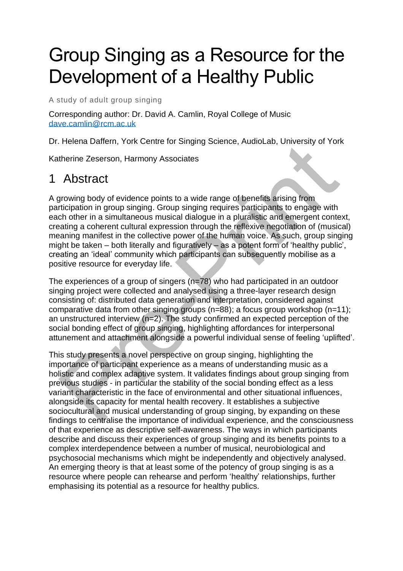## Group Singing as a Resource for the Development of a Healthy Public

A study of adult group singing

Corresponding author: Dr. David A. Camlin, Royal College of Music [dave.camlin@rcm.ac.uk](mailto:dave.camlin@rcm.ac.uk)

Dr. Helena Daffern, York Centre for Singing Science, AudioLab, University of York

Katherine Zeserson, Harmony Associates

## 1 Abstract

A growing body of evidence points to a wide range of benefits arising from participation in group singing. Group singing requires participants to engage with each other in a simultaneous musical dialogue in a pluralistic and emergent context, creating a coherent cultural expression through the reflexive negotiation of (musical) meaning manifest in the collective power of the human voice. As such, group singing might be taken – both literally and figuratively – as a potent form of 'healthy public', creating an 'ideal' community which participants can subsequently mobilise as a positive resource for everyday life.

The experiences of a group of singers (n=78) who had participated in an outdoor singing project were collected and analysed using a three-layer research design consisting of: distributed data generation and interpretation, considered against comparative data from other singing groups (n=88); a focus group workshop (n=11); an unstructured interview  $(n=2)$ . The study confirmed an expected perception of the social bonding effect of group singing, highlighting affordances for interpersonal attunement and attachment alongside a powerful individual sense of feeling 'uplifted'.

This study presents a novel perspective on group singing, highlighting the importance of participant experience as a means of understanding music as a holistic and complex adaptive system. It validates findings about group singing from previous studies - in particular the stability of the social bonding effect as a less variant characteristic in the face of environmental and other situational influences, alongside its capacity for mental health recovery. It establishes a subjective sociocultural and musical understanding of group singing, by expanding on these findings to centralise the importance of individual experience, and the consciousness of that experience as descriptive self-awareness. The ways in which participants describe and discuss their experiences of group singing and its benefits points to a complex interdependence between a number of musical, neurobiological and psychosocial mechanisms which might be independently and objectively analysed. An emerging theory is that at least some of the potency of group singing is as a resource where people can rehearse and perform 'healthy' relationships, further emphasising its potential as a resource for healthy publics.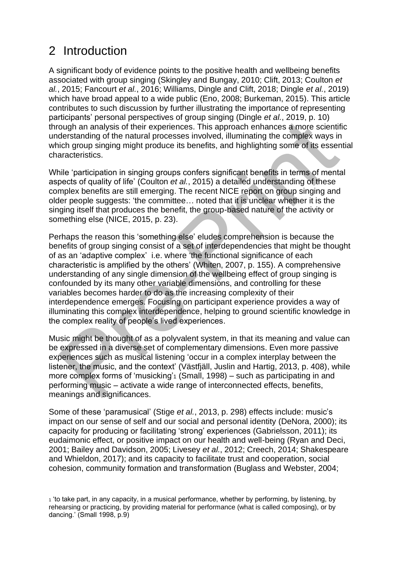## 2 Introduction

A significant body of evidence points to the positive health and wellbeing benefits associated with group singing (Skingley and Bungay, 2010; Clift, 2013; Coulton *et al.*, 2015; Fancourt *et al.*, 2016; Williams, Dingle and Clift, 2018; Dingle *et al.*, 2019) which have broad appeal to a wide public (Eno, 2008; Burkeman, 2015). This article contributes to such discussion by further illustrating the importance of representing participants' personal perspectives of group singing (Dingle *et al.*, 2019, p. 10) through an analysis of their experiences. This approach enhances a more scientific understanding of the natural processes involved, illuminating the complex ways in which group singing might produce its benefits, and highlighting some of its essential characteristics.

While 'participation in singing groups confers significant benefits in terms of mental aspects of quality of life' (Coulton *et al.*, 2015) a detailed understanding of these complex benefits are still emerging. The recent NICE report on group singing and older people suggests: 'the committee… noted that it is unclear whether it is the singing itself that produces the benefit, the group-based nature of the activity or something else (NICE, 2015, p. 23).

Perhaps the reason this 'something else' eludes comprehension is because the benefits of group singing consist of a set of interdependencies that might be thought of as an 'adaptive complex' i.e. where 'the functional significance of each characteristic is amplified by the others' (Whiten, 2007, p. 155). A comprehensive understanding of any single dimension of the wellbeing effect of group singing is confounded by its many other variable dimensions, and controlling for these variables becomes harder to do as the increasing complexity of their interdependence emerges. Focusing on participant experience provides a way of illuminating this complex interdependence, helping to ground scientific knowledge in the complex reality of people's lived experiences.

Music might be thought of as a polyvalent system, in that its meaning and value can be expressed in a diverse set of complementary dimensions. Even more passive experiences such as musical listening 'occur in a complex interplay between the listener, the music, and the context' (Västfjäll, Juslin and Hartig, 2013, p. 408), while more complex forms of 'musicking'<sub>1</sub> (Small, 1998) – such as participating in and performing music – activate a wide range of interconnected effects, benefits, meanings and significances.

Some of these 'paramusical' (Stige *et al.*, 2013, p. 298) effects include: music's impact on our sense of self and our social and personal identity (DeNora, 2000); its capacity for producing or facilitating 'strong' experiences (Gabrielsson, 2011); its eudaimonic effect, or positive impact on our health and well-being (Ryan and Deci, 2001; Bailey and Davidson, 2005; Livesey *et al.*, 2012; Creech, 2014; Shakespeare and Whieldon, 2017); and its capacity to facilitate trust and cooperation, social cohesion, community formation and transformation (Buglass and Webster, 2004;

<sup>1</sup> 'to take part, in any capacity, in a musical performance, whether by performing, by listening, by rehearsing or practicing, by providing material for performance (what is called composing), or by dancing.' (Small 1998, p.9)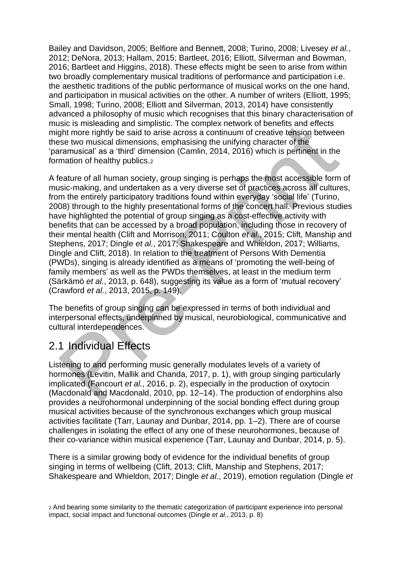Bailey and Davidson, 2005; Belfiore and Bennett, 2008; Turino, 2008; Livesey *et al.*, 2012; DeNora, 2013; Hallam, 2015; Bartleet, 2016; Elliott, Silverman and Bowman, 2016; Bartleet and Higgins, 2018). These effects might be seen to arise from within two broadly complementary musical traditions of performance and participation i.e. the aesthetic traditions of the public performance of musical works on the one hand, and participation in musical activities on the other. A number of writers (Elliott, 1995; Small, 1998; Turino, 2008; Elliott and Silverman, 2013, 2014) have consistently advanced a philosophy of music which recognises that this binary characterisation of music is misleading and simplistic. The complex network of benefits and effects might more rightly be said to arise across a continuum of creative tension between these two musical dimensions, emphasising the unifying character of the 'paramusical' as a 'third' dimension (Camlin, 2014, 2016) which is pertinent in the formation of healthy publics.<sup>2</sup>

A feature of all human society, group singing is perhaps the most accessible form of music-making, and undertaken as a very diverse set of practices across all cultures, from the entirely participatory traditions found within everyday 'social life' (Turino, 2008) through to the highly presentational forms of the concert hall. Previous studies have highlighted the potential of group singing as a cost-effective activity with benefits that can be accessed by a broad population, including those in recovery of their mental health (Clift and Morrison, 2011; Coulton *et al.*, 2015; Clift, Manship and Stephens, 2017; Dingle *et al.*, 2017; Shakespeare and Whieldon, 2017; Williams, Dingle and Clift, 2018). In relation to the treatment of Persons With Dementia (PWDs), singing is already identified as a means of 'promoting the well-being of family members' as well as the PWDs themselves, at least in the medium term (Särkämö *et al.*, 2013, p. 648), suggesting its value as a form of 'mutual recovery' (Crawford *et al.*, 2013, 2015, p. 149).

The benefits of group singing can be expressed in terms of both individual and interpersonal effects, underpinned by musical, neurobiological, communicative and cultural interdependences.

## 2.1 Individual Effects

Listening to and performing music generally modulates levels of a variety of hormones (Levitin, Mallik and Chanda, 2017, p. 1), with group singing particularly implicated (Fancourt *et al.*, 2016, p. 2), especially in the production of oxytocin (Macdonald and Macdonald, 2010, pp. 12–14). The production of endorphins also provides a neurohormonal underpinning of the social bonding effect during group musical activities because of the synchronous exchanges which group musical activities facilitate (Tarr, Launay and Dunbar, 2014, pp. 1–2). There are of course challenges in isolating the effect of any one of these neurohormones, because of their co-variance within musical experience (Tarr, Launay and Dunbar, 2014, p. 5).

There is a similar growing body of evidence for the individual benefits of group singing in terms of wellbeing (Clift, 2013; Clift, Manship and Stephens, 2017; Shakespeare and Whieldon, 2017; Dingle *et al.*, 2019), emotion regulation (Dingle *et* 

<sup>2</sup> And bearing some similarity to the thematic categorization of participant experience into personal impact, social impact and functional outcomes (Dingle *et al.*, 2013, p. 8)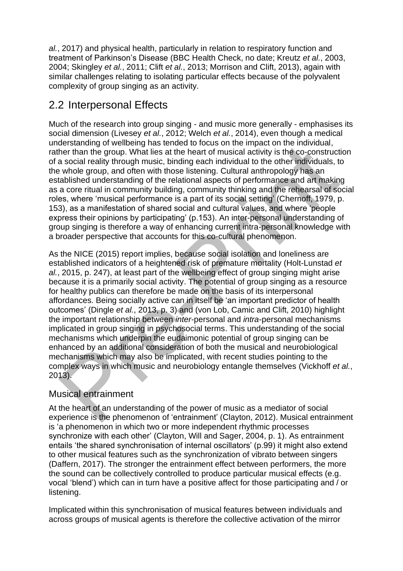*al.*, 2017) and physical health, particularly in relation to respiratory function and treatment of Parkinson's Disease (BBC Health Check, no date; Kreutz *et al.*, 2003, 2004; Skingley *et al.*, 2011; Clift *et al.*, 2013; Morrison and Clift, 2013), again with similar challenges relating to isolating particular effects because of the polyvalent complexity of group singing as an activity.

## 2.2 Interpersonal Effects

Much of the research into group singing - and music more generally - emphasises its social dimension (Livesey *et al.*, 2012; Welch *et al.*, 2014), even though a medical understanding of wellbeing has tended to focus on the impact on the individual, rather than the group. What lies at the heart of musical activity is the co-construction of a social reality through music, binding each individual to the other individuals, to the whole group, and often with those listening. Cultural anthropology has an established understanding of the relational aspects of performance and art making as a core ritual in community building, community thinking and the rehearsal of social roles, where 'musical performance is a part of its social setting' (Chernoff, 1979, p. 153), as a manifestation of shared social and cultural values, and where 'people express their opinions by participating' (p.153). An inter-personal understanding of group singing is therefore a way of enhancing current intra-personal knowledge with a broader perspective that accounts for this co-cultural phenomenon.

As the NICE (2015) report implies, because social isolation and loneliness are established indicators of a heightened risk of premature mortality (Holt-Lunstad *et al.*, 2015, p. 247), at least part of the wellbeing effect of group singing might arise because it is a primarily social activity. The potential of group singing as a resource for healthy publics can therefore be made on the basis of its interpersonal affordances. Being socially active can in itself be 'an important predictor of health outcomes' (Dingle *et al.*, 2013, p. 3) and (von Lob, Camic and Clift, 2010) highlight the important relationship between *inter*-personal and *intra*-personal mechanisms implicated in group singing in psychosocial terms. This understanding of the social mechanisms which underpin the eudaimonic potential of group singing can be enhanced by an additional consideration of both the musical and neurobiological mechanisms which may also be implicated, with recent studies pointing to the complex ways in which music and neurobiology entangle themselves (Vickhoff *et al.*, 2013).

#### Musical entrainment

At the heart of an understanding of the power of music as a mediator of social experience is the phenomenon of 'entrainment' (Clayton, 2012). Musical entrainment is 'a phenomenon in which two or more independent rhythmic processes synchronize with each other' (Clayton, Will and Sager, 2004, p. 1). As entrainment entails 'the shared synchronisation of internal oscillators' (p.99) it might also extend to other musical features such as the synchronization of vibrato between singers (Daffern, 2017). The stronger the entrainment effect between performers, the more the sound can be collectively controlled to produce particular musical effects (e.g. vocal 'blend') which can in turn have a positive affect for those participating and / or listening.

Implicated within this synchronisation of musical features between individuals and across groups of musical agents is therefore the collective activation of the mirror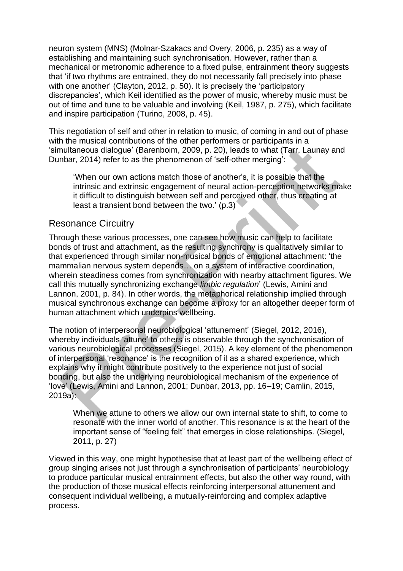neuron system (MNS) (Molnar-Szakacs and Overy, 2006, p. 235) as a way of establishing and maintaining such synchronisation. However, rather than a mechanical or metronomic adherence to a fixed pulse, entrainment theory suggests that 'if two rhythms are entrained, they do not necessarily fall precisely into phase with one another' (Clayton, 2012, p. 50). It is precisely the 'participatory discrepancies', which Keil identified as the power of music, whereby music must be out of time and tune to be valuable and involving (Keil, 1987, p. 275), which facilitate and inspire participation (Turino, 2008, p. 45).

This negotiation of self and other in relation to music, of coming in and out of phase with the musical contributions of the other performers or participants in a 'simultaneous dialogue' (Barenboim, 2009, p. 20), leads to what (Tarr, Launay and Dunbar, 2014) refer to as the phenomenon of 'self-other merging':

'When our own actions match those of another's, it is possible that the intrinsic and extrinsic engagement of neural action-perception networks make it difficult to distinguish between self and perceived other, thus creating at least a transient bond between the two.' (p.3)

#### Resonance Circuitry

Through these various processes, one can see how music can help to facilitate bonds of trust and attachment, as the resulting synchrony is qualitatively similar to that experienced through similar non-musical bonds of emotional attachment: 'the mammalian nervous system depends… on a system of interactive coordination, wherein steadiness comes from synchronization with nearby attachment figures. We call this mutually synchronizing exchange *limbic regulation*' (Lewis, Amini and Lannon, 2001, p. 84). In other words, the metaphorical relationship implied through musical synchronous exchange can become a proxy for an altogether deeper form of human attachment which underpins wellbeing.

The notion of interpersonal neurobiological 'attunement' (Siegel, 2012, 2016), whereby individuals 'attune' to others is observable through the synchronisation of various neurobiological processes (Siegel, 2015). A key element of the phenomenon of interpersonal 'resonance' is the recognition of it as a shared experience, which explains why it might contribute positively to the experience not just of social bonding, but also the underlying neurobiological mechanism of the experience of 'love' (Lewis, Amini and Lannon, 2001; Dunbar, 2013, pp. 16–19; Camlin, 2015, 2019a):

When we attune to others we allow our own internal state to shift, to come to resonate with the inner world of another. This resonance is at the heart of the important sense of "feeling felt" that emerges in close relationships. (Siegel, 2011, p. 27)

Viewed in this way, one might hypothesise that at least part of the wellbeing effect of group singing arises not just through a synchronisation of participants' neurobiology to produce particular musical entrainment effects, but also the other way round, with the production of those musical effects reinforcing interpersonal attunement and consequent individual wellbeing, a mutually-reinforcing and complex adaptive process.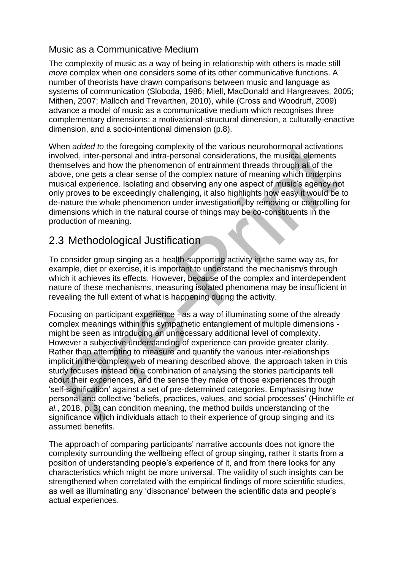#### Music as a Communicative Medium

The complexity of music as a way of being in relationship with others is made still *more* complex when one considers some of its other communicative functions. A number of theorists have drawn comparisons between music and language as systems of communication (Sloboda, 1986; Miell, MacDonald and Hargreaves, 2005; Mithen, 2007; Malloch and Trevarthen, 2010), while (Cross and Woodruff, 2009) advance a model of music as a communicative medium which recognises three complementary dimensions: a motivational-structural dimension, a culturally-enactive dimension, and a socio-intentional dimension (p.8).

When *added to* the foregoing complexity of the various neurohormonal activations involved, inter-personal and intra-personal considerations, the musical elements themselves and how the phenomenon of entrainment threads through all of the above, one gets a clear sense of the complex nature of meaning which underpins musical experience. Isolating and observing any one aspect of music's agency not only proves to be exceedingly challenging, it also highlights how easy it would be to de-nature the whole phenomenon under investigation, by removing or controlling for dimensions which in the natural course of things may be co-constituents in the production of meaning.

## 2.3 Methodological Justification

To consider group singing as a health-supporting activity in the same way as, for example, diet or exercise, it is important to understand the mechanism/s through which it achieves its effects. However, because of the complex and interdependent nature of these mechanisms, measuring isolated phenomena may be insufficient in revealing the full extent of what is happening during the activity.

Focusing on participant experience - as a way of illuminating some of the already complex meanings within this sympathetic entanglement of multiple dimensions might be seen as introducing an unnecessary additional level of complexity. However a subjective understanding of experience can provide greater clarity. Rather than attempting to measure and quantify the various inter-relationships implicit in the complex web of meaning described above, the approach taken in this study focuses instead on a combination of analysing the stories participants tell about their experiences, and the sense they make of those experiences through 'self-signification' against a set of pre-determined categories. Emphasising how personal and collective 'beliefs, practices, values, and social processes' (Hinchliffe *et al.*, 2018, p. 3) can condition meaning, the method builds understanding of the significance which individuals attach to their experience of group singing and its assumed benefits.

The approach of comparing participants' narrative accounts does not ignore the complexity surrounding the wellbeing effect of group singing, rather it starts from a position of understanding people's experience of it, and from there looks for any characteristics which might be more universal. The validity of such insights can be strengthened when correlated with the empirical findings of more scientific studies, as well as illuminating any 'dissonance' between the scientific data and people's actual experiences.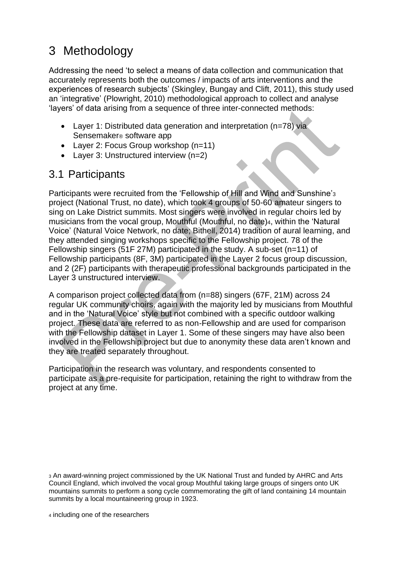## 3 Methodology

Addressing the need 'to select a means of data collection and communication that accurately represents both the outcomes / impacts of arts interventions and the experiences of research subjects' (Skingley, Bungay and Clift, 2011), this study used an 'integrative' (Plowright, 2010) methodological approach to collect and analyse 'layers' of data arising from a sequence of three inter-connected methods:

- Layer 1: Distributed data generation and interpretation  $(n=78)$  via Sensemaker® software app
- Layer 2: Focus Group workshop (n=11)
- Layer 3: Unstructured interview (n=2)

### 3.1 Participants

Participants were recruited from the 'Fellowship of Hill and Wind and Sunshine'<sup>3</sup> project (National Trust, no date), which took 4 groups of 50-60 amateur singers to sing on Lake District summits. Most singers were involved in regular choirs led by musicians from the vocal group, Mouthful (Mouthful, no date)4, within the 'Natural Voice' (Natural Voice Network, no date; Bithell, 2014) tradition of aural learning, and they attended singing workshops specific to the Fellowship project. 78 of the Fellowship singers (51F 27M) participated in the study. A sub-set (n=11) of Fellowship participants (8F, 3M) participated in the Layer 2 focus group discussion, and 2 (2F) participants with therapeutic professional backgrounds participated in the Layer 3 unstructured interview.

A comparison project collected data from (n=88) singers (67F, 21M) across 24 regular UK community choirs, again with the majority led by musicians from Mouthful and in the 'Natural Voice' style but not combined with a specific outdoor walking project. These data are referred to as non-Fellowship and are used for comparison with the Fellowship dataset in Layer 1. Some of these singers may have also been involved in the Fellowship project but due to anonymity these data aren't known and they are treated separately throughout.

Participation in the research was voluntary, and respondents consented to participate as a pre-requisite for participation, retaining the right to withdraw from the project at any time.

<sup>3</sup> An award-winning project commissioned by the UK National Trust and funded by AHRC and Arts Council England, which involved the vocal group Mouthful taking large groups of singers onto UK mountains summits to perform a song cycle commemorating the gift of land containing 14 mountain summits by a local mountaineering group in 1923.

<sup>4</sup> including one of the researchers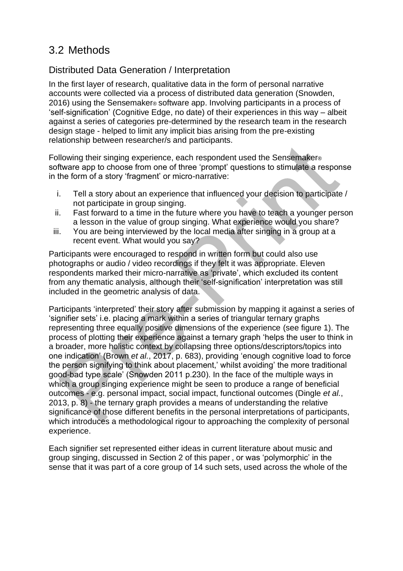## 3.2 Methods

#### Distributed Data Generation / Interpretation

In the first layer of research, qualitative data in the form of personal narrative accounts were collected via a process of distributed data generation (Snowden, 2016) using the Sensemaker® software app. Involving participants in a process of 'self-signification' (Cognitive Edge, no date) of their experiences in this way – albeit against a series of categories pre-determined by the research team in the research design stage - helped to limit any implicit bias arising from the pre-existing relationship between researcher/s and participants.

Following their singing experience, each respondent used the Sensemaker® software app to choose from one of three 'prompt' questions to stimulate a response in the form of a story 'fragment' or micro-narrative:

- i. Tell a story about an experience that influenced your decision to participate / not participate in group singing.
- ii. Fast forward to a time in the future where you have to teach a younger person a lesson in the value of group singing. What experience would you share?
- iii. You are being interviewed by the local media after singing in a group at a recent event. What would you say?

Participants were encouraged to respond in written form but could also use photographs or audio / video recordings if they felt it was appropriate. Eleven respondents marked their micro-narrative as 'private', which excluded its content from any thematic analysis, although their 'self-signification' interpretation was still included in the geometric analysis of data.

Participants 'interpreted' their story after submission by mapping it against a series of 'signifier sets' i.e. placing a mark within a series of triangular ternary graphs representing three equally positive dimensions of the experience (see figure 1). The process of plotting their experience against a ternary graph 'helps the user to think in a broader, more holistic context by collapsing three options/descriptors/topics into one indication' (Brown *et al.*, 2017, p. 683), providing 'enough cognitive load to force the person signifying to think about placement,' whilst avoiding' the more traditional good-bad type scale' (Snowden 2011 p.230). In the face of the multiple ways in which a group singing experience might be seen to produce a range of beneficial outcomes - e.g. personal impact, social impact, functional outcomes (Dingle *et al.*, 2013, p. 8) - the ternary graph provides a means of understanding the relative significance of those different benefits in the personal interpretations of participants, which introduces a methodological rigour to approaching the complexity of personal experience.

Each signifier set represented either ideas in current literature about music and group singing, discussed in Section 2 of this paper , or was 'polymorphic' in the sense that it was part of a core group of 14 such sets, used across the whole of the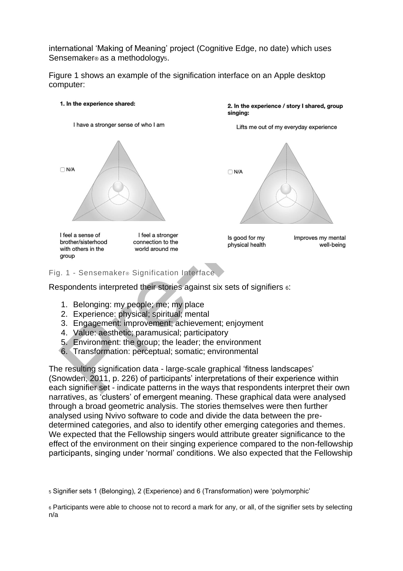international 'Making of Meaning' project (Cognitive Edge, no date) which uses Sensemaker® as a methodology5.

Figure 1 shows an example of the signification interface on an Apple desktop computer:

#### 1. In the experience shared:



2. In the experience / story I shared, group singing:

Lifts me out of my everyday experience



Is good for my physical health Improves my mental well-being

#### Fig. 1 - Sensemaker® Signification Interface

Respondents interpreted their stories against six sets of signifiers 6:

- 1. Belonging: my people; me; my place
- 2. Experience: physical; spiritual; mental
- 3. Engagement: improvement; achievement; enjoyment
- 4. Value: aesthetic; paramusical; participatory
- 5. Environment: the group; the leader; the environment
- 6. Transformation: perceptual; somatic; environmental

The resulting signification data - large-scale graphical 'fitness landscapes' (Snowden, 2011, p. 226) of participants' interpretations of their experience within each signifier set - indicate patterns in the ways that respondents interpret their own narratives, as 'clusters' of emergent meaning. These graphical data were analysed through a broad geometric analysis. The stories themselves were then further analysed using Nvivo software to code and divide the data between the predetermined categories, and also to identify other emerging categories and themes. We expected that the Fellowship singers would attribute greater significance to the effect of the environment on their singing experience compared to the non-fellowship participants, singing under 'normal' conditions. We also expected that the Fellowship

<sup>5</sup> Signifier sets 1 (Belonging), 2 (Experience) and 6 (Transformation) were 'polymorphic'

<sup>6</sup> Participants were able to choose not to record a mark for any, or all, of the signifier sets by selecting n/a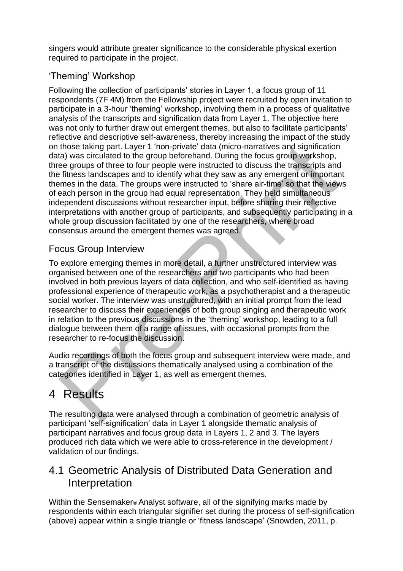singers would attribute greater significance to the considerable physical exertion required to participate in the project.

#### 'Theming' Workshop

Following the collection of participants' stories in Layer 1, a focus group of 11 respondents (7F 4M) from the Fellowship project were recruited by open invitation to participate in a 3-hour 'theming' workshop, involving them in a process of qualitative analysis of the transcripts and signification data from Layer 1. The objective here was not only to further draw out emergent themes, but also to facilitate participants' reflective and descriptive self-awareness, thereby increasing the impact of the study on those taking part. Layer 1 'non-private' data (micro-narratives and signification data) was circulated to the group beforehand. During the focus group workshop, three groups of three to four people were instructed to discuss the transcripts and the fitness landscapes and to identify what they saw as any emergent or important themes in the data. The groups were instructed to 'share air-time' so that the views of each person in the group had equal representation. They held simultaneous independent discussions without researcher input, before sharing their reflective interpretations with another group of participants, and subsequently participating in a whole group discussion facilitated by one of the researchers, where broad consensus around the emergent themes was agreed.

#### Focus Group Interview

To explore emerging themes in more detail, a further unstructured interview was organised between one of the researchers and two participants who had been involved in both previous layers of data collection, and who self-identified as having professional experience of therapeutic work, as a psychotherapist and a therapeutic social worker. The interview was unstructured, with an initial prompt from the lead researcher to discuss their experiences of both group singing and therapeutic work in relation to the previous discussions in the 'theming' workshop, leading to a full dialogue between them of a range of issues, with occasional prompts from the researcher to re-focus the discussion.

Audio recordings of both the focus group and subsequent interview were made, and a transcript of the discussions thematically analysed using a combination of the categories identified in Layer 1, as well as emergent themes.

## 4 Results

The resulting data were analysed through a combination of geometric analysis of participant 'self-signification' data in Layer 1 alongside thematic analysis of participant narratives and focus group data in Layers 1, 2 and 3. The layers produced rich data which we were able to cross-reference in the development / validation of our findings.

#### 4.1 Geometric Analysis of Distributed Data Generation and Interpretation

Within the Sensemaker® Analyst software, all of the signifying marks made by respondents within each triangular signifier set during the process of self-signification (above) appear within a single triangle or 'fitness landscape' (Snowden, 2011, p.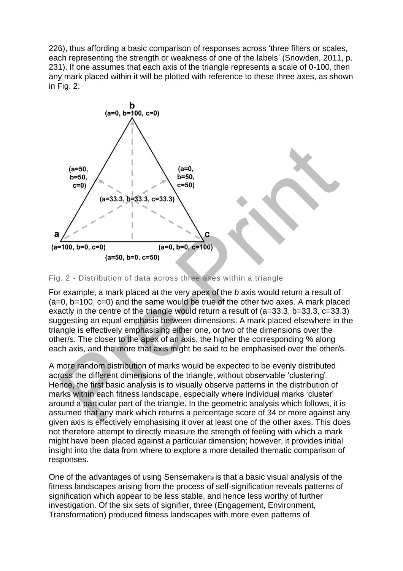226), thus affording a basic comparison of responses across 'three filters or scales, each representing the strength or weakness of one of the labels' (Snowden, 2011, p. 231). If one assumes that each axis of the triangle represents a scale of 0-100, then any mark placed within it will be plotted with reference to these three axes, as shown in Fig. 2:



#### Fig. 2 - Distribution of data across three axes within a triangle

For example, a mark placed at the very apex of the *b* axis would return a result of  $(a=0, b=100, c=0)$  and the same would be true of the other two axes. A mark placed exactly in the centre of the triangle would return a result of (a=33.3, b=33.3, c=33.3) suggesting an equal emphasis between dimensions. A mark placed elsewhere in the triangle is effectively emphasising either one, or two of the dimensions over the other/s. The closer to the apex of an axis, the higher the corresponding % along each axis, and the more that axis might be said to be emphasised over the other/s.

A more random distribution of marks would be expected to be evenly distributed across the different dimensions of the triangle, without observable 'clustering'. Hence, the first basic analysis is to visually observe patterns in the distribution of marks within each fitness landscape, especially where individual marks 'cluster' around a particular part of the triangle. In the geometric analysis which follows, it is assumed that any mark which returns a percentage score of 34 or more against any given axis is effectively emphasising it over at least one of the other axes. This does not therefore attempt to directly measure the strength of feeling with which a mark might have been placed against a particular dimension; however, it provides initial insight into the data from where to explore a more detailed thematic comparison of responses.

One of the advantages of using Sensemaker® is that a basic visual analysis of the fitness landscapes arising from the process of self-signification reveals patterns of signification which appear to be less stable, and hence less worthy of further investigation. Of the six sets of signifier, three (Engagement, Environment, Transformation) produced fitness landscapes with more even patterns of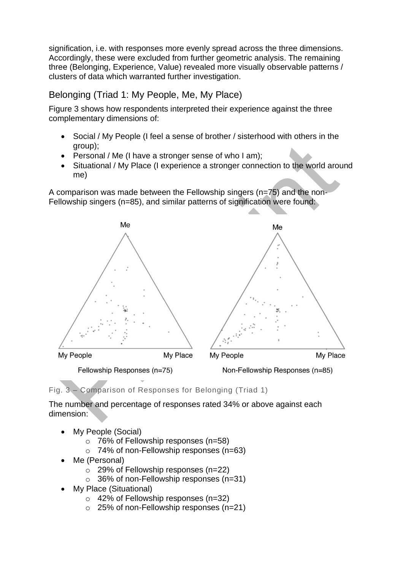signification, i.e. with responses more evenly spread across the three dimensions. Accordingly, these were excluded from further geometric analysis. The remaining three (Belonging, Experience, Value) revealed more visually observable patterns / clusters of data which warranted further investigation.

#### Belonging (Triad 1: My People, Me, My Place)

Figure 3 shows how respondents interpreted their experience against the three complementary dimensions of:

- Social / My People (I feel a sense of brother / sisterhood with others in the group);
- Personal / Me (I have a stronger sense of who I am);
- Situational / My Place (I experience a stronger connection to the world around me)

A comparison was made between the Fellowship singers (n=75) and the non-Fellowship singers (n=85), and similar patterns of signification were found:



Fig. 3 – Comparison of Responses for Belonging (Triad 1)

The number and percentage of responses rated 34% or above against each dimension:

- My People (Social)
	- o 76% of Fellowship responses (n=58)
	- $\circ$  74% of non-Fellowship responses (n=63)
- Me (Personal)
	- o 29% of Fellowship responses (n=22)
	- $\circ$  36% of non-Fellowship responses (n=31)
- My Place (Situational)
	- o 42% of Fellowship responses (n=32)
	- o 25% of non-Fellowship responses (n=21)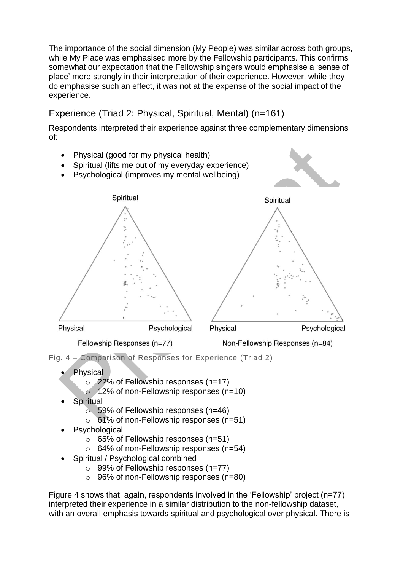The importance of the social dimension (My People) was similar across both groups, while My Place was emphasised more by the Fellowship participants. This confirms somewhat our expectation that the Fellowship singers would emphasise a 'sense of place' more strongly in their interpretation of their experience. However, while they do emphasise such an effect, it was not at the expense of the social impact of the experience.

#### Experience (Triad 2: Physical, Spiritual, Mental) (n=161)

Respondents interpreted their experience against three complementary dimensions of:



- **Physical** 
	- o 22% of Fellowship responses (n=17)
	- $\circ$  12% of non-Fellowship responses (n=10)
- **Spiritual** 
	- $\circ$  59% of Fellowship responses (n=46)
	- o 61% of non-Fellowship responses (n=51)
- **Psychological** 
	- o 65% of Fellowship responses (n=51)
	- $\circ$  64% of non-Fellowship responses (n=54)
- Spiritual / Psychological combined
	- $\circ$  99% of Fellowship responses (n=77)
	- o 96% of non-Fellowship responses (n=80)

Figure 4 shows that, again, respondents involved in the 'Fellowship' project (n=77) interpreted their experience in a similar distribution to the non-fellowship dataset, with an overall emphasis towards spiritual and psychological over physical. There is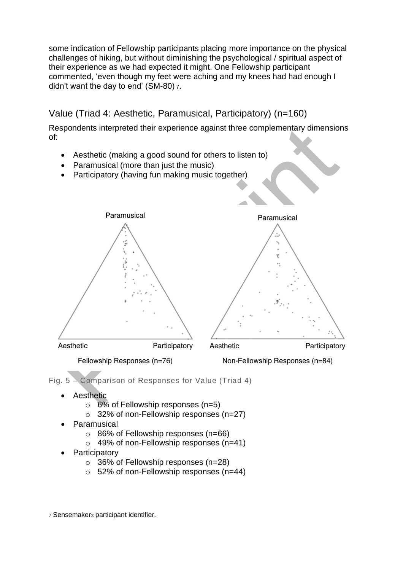some indication of Fellowship participants placing more importance on the physical challenges of hiking, but without diminishing the psychological / spiritual aspect of their experience as we had expected it might. One Fellowship participant commented, 'even though my feet were aching and my knees had had enough I didn't want the day to end' (SM-80) <sup>7</sup>.

#### Value (Triad 4: Aesthetic, Paramusical, Participatory) (n=160)

Respondents interpreted their experience against three complementary dimensions of:

- Aesthetic (making a good sound for others to listen to)
- Paramusical (more than just the music)
- Participatory (having fun making music together)



Fig. 5 – Comparison of Responses for Value (Triad 4)

- **Aesthetic** 
	- $\circ$  6% of Fellowship responses (n=5)
	- o 32% of non-Fellowship responses (n=27)
- **Paramusical** 
	- o 86% of Fellowship responses (n=66)
	- $\circ$  49% of non-Fellowship responses (n=41)
- **Participatory** 
	- o 36% of Fellowship responses (n=28)
	- o 52% of non-Fellowship responses (n=44)

<sup>7</sup> Sensemaker® participant identifier.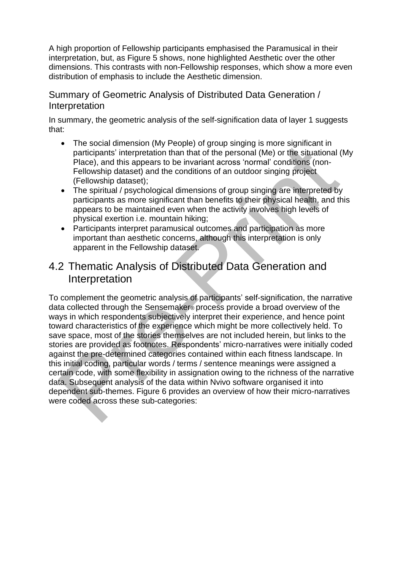A high proportion of Fellowship participants emphasised the Paramusical in their interpretation, but, as Figure 5 shows, none highlighted Aesthetic over the other dimensions. This contrasts with non-Fellowship responses, which show a more even distribution of emphasis to include the Aesthetic dimension.

#### Summary of Geometric Analysis of Distributed Data Generation / **Interpretation**

In summary, the geometric analysis of the self-signification data of layer 1 suggests that:

- The social dimension (My People) of group singing is more significant in participants' interpretation than that of the personal (Me) or the situational (My Place), and this appears to be invariant across 'normal' conditions (non-Fellowship dataset) and the conditions of an outdoor singing project (Fellowship dataset);
- The spiritual / psychological dimensions of group singing are interpreted by participants as more significant than benefits to their physical health, and this appears to be maintained even when the activity involves high levels of physical exertion i.e. mountain hiking;
- Participants interpret paramusical outcomes and participation as more important than aesthetic concerns, although this interpretation is only apparent in the Fellowship dataset.

## 4.2 Thematic Analysis of Distributed Data Generation and Interpretation

To complement the geometric analysis of participants' self-signification, the narrative data collected through the Sensemaker® process provide a broad overview of the ways in which respondents subjectively interpret their experience, and hence point toward characteristics of the experience which might be more collectively held. To save space, most of the stories themselves are not included herein, but links to the stories are provided as footnotes. Respondents' micro-narratives were initially coded against the pre-determined categories contained within each fitness landscape. In this initial coding, particular words / terms / sentence meanings were assigned a certain code, with some flexibility in assignation owing to the richness of the narrative data. Subsequent analysis of the data within Nvivo software organised it into dependent sub-themes. Figure 6 provides an overview of how their micro-narratives were coded across these sub-categories: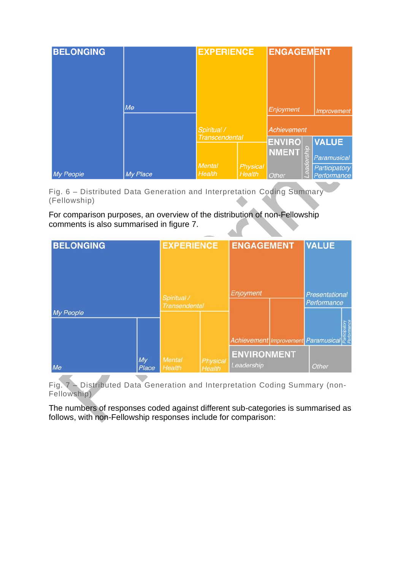| <b>BELONGING</b> |          | <b>EXPERIENCE</b>       |                           | <b>ENGAGEMENT</b>               |                         |                              |
|------------------|----------|-------------------------|---------------------------|---------------------------------|-------------------------|------------------------------|
|                  | Me       | Spiritual /             |                           | Enjoyment<br><b>Achievement</b> |                         | Improvement                  |
|                  |          | <b>Transcendental</b>   |                           | <b>ENVIRO</b><br><b>NMENT</b>   | $\Box$                  | <b>VALUE</b><br>Paramusical  |
| <b>My People</b> | My Place | <b>Mental</b><br>Health | <b>Physical</b><br>Health | <b>Other</b>                    | ā.<br>$\tilde{a}$<br>ŒΓ | Participatory<br>Performance |

Fig. 6 – Distributed Data Generation and Interpretation Coding Summary (Fellowship)

For comparison purposes, an overview of the distribution of non-Fellowship comments is also summarised in figure 7.

| <b>BELONGING</b> |             | <b>EXPERIENCE</b>                   |                    | <b>ENGAGEMENT</b>                   |  | <b>VALUE</b>                  |  |
|------------------|-------------|-------------------------------------|--------------------|-------------------------------------|--|-------------------------------|--|
| My People        |             | Spiritual /<br><b>Transendental</b> |                    | Enjoyment                           |  | Presentational<br>Performance |  |
|                  |             |                                     |                    | Achievement Improvement Paramusical |  |                               |  |
| Me               | My<br>Place | Mental<br>Health                    | Physical<br>Health | <b>ENVIRONMENT</b><br>Leadership    |  | Other                         |  |

Fig. 7 – Distributed Data Generation and Interpretation Coding Summary (non-Fellowship)

The numbers of responses coded against different sub-categories is summarised as follows, with non-Fellowship responses include for comparison: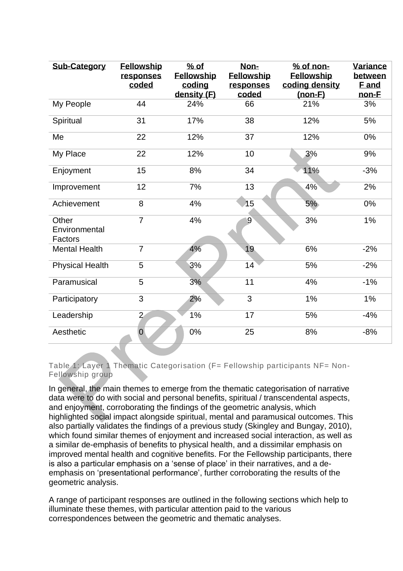| <b>Sub-Category</b>               | <b>Fellowship</b><br>responses<br>coded | $%$ of<br>Fellowship<br>coding<br>density (F) | Non-<br><b>Fellowship</b><br>responses<br>coded | $%$ of non-<br><b>Fellowship</b><br>coding density<br>$(non-F)$ | Variance<br>between<br><b>F</b> and<br>non-E |
|-----------------------------------|-----------------------------------------|-----------------------------------------------|-------------------------------------------------|-----------------------------------------------------------------|----------------------------------------------|
| My People                         | 44                                      | 24%                                           | 66                                              | 21%                                                             | 3%                                           |
| Spiritual                         | 31                                      | 17%                                           | 38                                              | 12%                                                             | 5%                                           |
| Me                                | 22                                      | 12%                                           | 37                                              | 12%                                                             | 0%                                           |
| My Place                          | 22                                      | 12%                                           | 10                                              | 3%                                                              | 9%                                           |
| Enjoyment                         | 15                                      | 8%                                            | 34                                              | 11%                                                             | $-3%$                                        |
| Improvement                       | 12                                      | 7%                                            | 13                                              | 4%                                                              | 2%                                           |
| Achievement                       | 8                                       | 4%                                            | 15                                              | 5%                                                              | 0%                                           |
| Other<br>Environmental<br>Factors | $\overline{7}$                          | 4%                                            | $9^{\circ}$                                     | 3%                                                              | $1\%$                                        |
| <b>Mental Health</b>              | $\overline{7}$                          | 4%                                            | 19                                              | 6%                                                              | $-2%$                                        |
| <b>Physical Health</b>            | 5                                       | 3%                                            | 14                                              | 5%                                                              | $-2%$                                        |
| Paramusical                       | 5                                       | 3%                                            | 11                                              | 4%                                                              | $-1%$                                        |
| Participatory                     | 3                                       | 2%                                            | 3                                               | 1%                                                              | 1%                                           |
| Leadership                        | $\overline{2}$                          | 1%                                            | 17                                              | 5%                                                              | $-4%$                                        |
| Aesthetic                         | $\mathbf 0$                             | 0%                                            | 25                                              | 8%                                                              | $-8%$                                        |

Table 1: Layer 1 Thematic Categorisation (F= Fellowship participants NF= Non-Fellowship group

In general, the main themes to emerge from the thematic categorisation of narrative data were to do with social and personal benefits, spiritual / transcendental aspects, and enjoyment, corroborating the findings of the geometric analysis, which highlighted social impact alongside spiritual, mental and paramusical outcomes. This also partially validates the findings of a previous study (Skingley and Bungay, 2010), which found similar themes of enjoyment and increased social interaction, as well as a similar de-emphasis of benefits to physical health, and a dissimilar emphasis on improved mental health and cognitive benefits. For the Fellowship participants, there is also a particular emphasis on a 'sense of place' in their narratives, and a deemphasis on 'presentational performance', further corroborating the results of the geometric analysis.

A range of participant responses are outlined in the following sections which help to illuminate these themes, with particular attention paid to the various correspondences between the geometric and thematic analyses.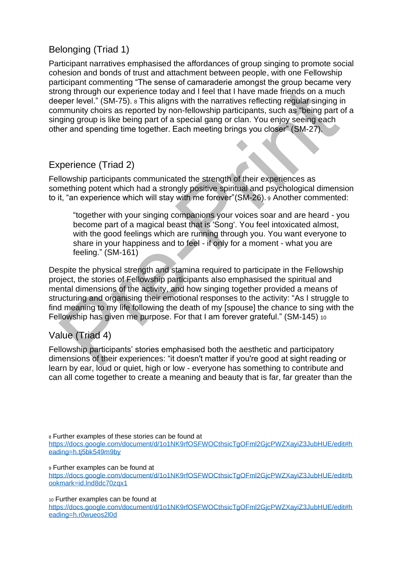#### Belonging (Triad 1)

Participant narratives emphasised the affordances of group singing to promote social cohesion and bonds of trust and attachment between people, with one Fellowship participant commenting "The sense of camaraderie amongst the group became very strong through our experience today and I feel that I have made friends on a much deeper level." (SM-75). <sup>8</sup> This aligns with the narratives reflecting regular singing in community choirs as reported by non-fellowship participants, such as "being part of a singing group is like being part of a special gang or clan. You enjoy seeing each other and spending time together. Each meeting brings you closer" (SM-27).

#### Experience (Triad 2)

Fellowship participants communicated the strength of their experiences as something potent which had a strongly positive spiritual and psychological dimension to it, "an experience which will stay with me forever"(SM-26). <sup>9</sup> Another commented:

"together with your singing companions your voices soar and are heard - you become part of a magical beast that is 'Song'. You feel intoxicated almost, with the good feelings which are running through you. You want everyone to share in your happiness and to feel - if only for a moment - what you are feeling." (SM-161)

Despite the physical strength and stamina required to participate in the Fellowship project, the stories of Fellowship participants also emphasised the spiritual and mental dimensions of the activity, and how singing together provided a means of structuring and organising their emotional responses to the activity: "As I struggle to find meaning to my life following the death of my [spouse] the chance to sing with the Fellowship has given me purpose. For that I am forever grateful." (SM-145) <sup>10</sup>

#### Value (Triad 4)

Fellowship participants' stories emphasised both the aesthetic and participatory dimensions of their experiences: "it doesn't matter if you're good at sight reading or learn by ear, loud or quiet, high or low - everyone has something to contribute and can all come together to create a meaning and beauty that is far, far greater than the

<sup>8</sup> Further examples of these stories can be found at

https://docs.google.com/document/d/1o1NK9rfOSFWOCthsicTgOFml2GicPWZXaviZ3JubHUE/edit#h [eading=h.tj5bk549m9by](https://docs.google.com/document/d/1o1NK9rfOSFWOCthsicTgOFml2GjcPWZXayiZ3JubHUE/edit#heading=h.tj5bk549m9by)

<sup>9</sup> Further examples can be found at

https://docs.google.com/document/d/1o1NK9rfOSFWOCthsicTgOFml2GicPWZXaviZ3JubHUE/edit#b [ookmark=id.lnd8dc70zqx1](https://docs.google.com/document/d/1o1NK9rfOSFWOCthsicTgOFml2GjcPWZXayiZ3JubHUE/edit#bookmark=id.lnd8dc70zqx1)

<sup>10</sup> Further examples can be found at

[https://docs.google.com/document/d/1o1NK9rfOSFWOCthsicTgOFml2GjcPWZXayiZ3JubHUE/edit#h](https://docs.google.com/document/d/1o1NK9rfOSFWOCthsicTgOFml2GjcPWZXayiZ3JubHUE/edit#heading=h.r0wueos2l0d) [eading=h.r0wueos2l0d](https://docs.google.com/document/d/1o1NK9rfOSFWOCthsicTgOFml2GjcPWZXayiZ3JubHUE/edit#heading=h.r0wueos2l0d)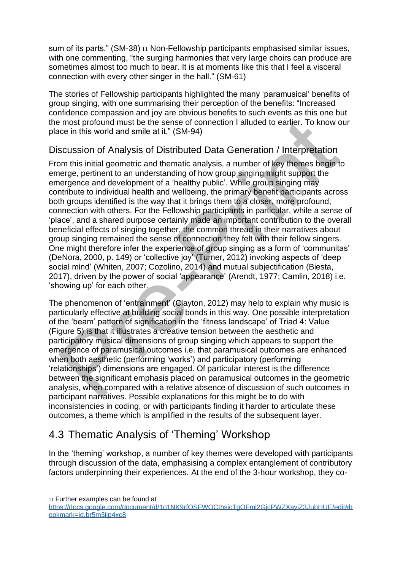sum of its parts." (SM-38) <sup>11</sup> Non-Fellowship participants emphasised similar issues, with one commenting, "the surging harmonies that very large choirs can produce are sometimes almost too much to bear. It is at moments like this that I feel a visceral connection with every other singer in the hall." (SM-61)

The stories of Fellowship participants highlighted the many 'paramusical' benefits of group singing, with one summarising their perception of the benefits: "Increased confidence compassion and joy are obvious benefits to such events as this one but the most profound must be the sense of connection I alluded to earlier. To know our place in this world and smile at it." (SM-94)

#### Discussion of Analysis of Distributed Data Generation / Interpretation

From this initial geometric and thematic analysis, a number of key themes begin to emerge, pertinent to an understanding of how group singing might support the emergence and development of a 'healthy public'. While group singing may contribute to individual health and wellbeing, the primary benefit participants across both groups identified is the way that it brings them to a closer, more profound, connection with others. For the Fellowship participants in particular, while a sense of 'place', and a shared purpose certainly made an important contribution to the overall beneficial effects of singing together, the common thread in their narratives about group singing remained the sense of connection they felt with their fellow singers. One might therefore infer the experience of group singing as a form of 'communitas' (DeNora, 2000, p. 149) or 'collective joy' (Turner, 2012) invoking aspects of 'deep social mind' (Whiten, 2007; Cozolino, 2014) and mutual subjectification (Biesta, 2017), driven by the power of social 'appearance' (Arendt, 1977; Camlin, 2018) i.e. 'showing up' for each other.

The phenomenon of 'entrainment' (Clayton, 2012) may help to explain why music is particularly effective at building social bonds in this way. One possible interpretation of the 'beam' pattern of signification in the 'fitness landscape' of Triad 4: Value (Figure 5) is that it illustrates a creative tension between the aesthetic and participatory musical dimensions of group singing which appears to support the emergence of paramusical outcomes i.e. that paramusical outcomes are enhanced when both aesthetic (performing 'works') and participatory (performing 'relationships') dimensions are engaged. Of particular interest is the difference between the significant emphasis placed on paramusical outcomes in the geometric analysis, when compared with a relative absence of discussion of such outcomes in participant narratives. Possible explanations for this might be to do with inconsistencies in coding, or with participants finding it harder to articulate these outcomes, a theme which is amplified in the results of the subsequent layer.

## 4.3 Thematic Analysis of 'Theming' Workshop

In the 'theming' workshop, a number of key themes were developed with participants through discussion of the data, emphasising a complex entanglement of contributory factors underpinning their experiences. At the end of the 3-hour workshop, they co-

<sup>11</sup> Further examples can be found at

[https://docs.google.com/document/d/1o1NK9rfOSFWOCthsicTgOFml2GjcPWZXayiZ3JubHUE/edit#b](https://docs.google.com/document/d/1o1NK9rfOSFWOCthsicTgOFml2GjcPWZXayiZ3JubHUE/edit#bookmark=id.br5m3iip4xc8) [ookmark=id.br5m3iip4xc8](https://docs.google.com/document/d/1o1NK9rfOSFWOCthsicTgOFml2GjcPWZXayiZ3JubHUE/edit#bookmark=id.br5m3iip4xc8)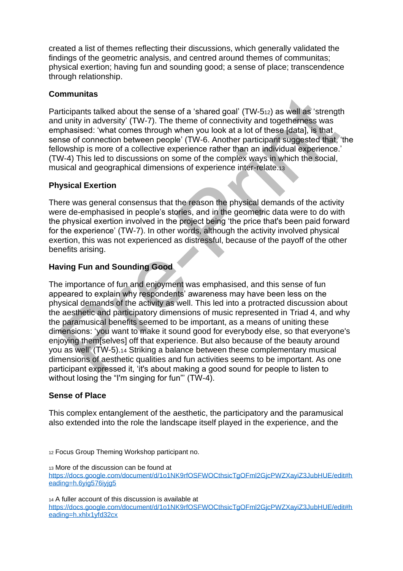created a list of themes reflecting their discussions, which generally validated the findings of the geometric analysis, and centred around themes of communitas; physical exertion; having fun and sounding good; a sense of place; transcendence through relationship.

#### **Communitas**

Participants talked about the sense of a 'shared goal' (TW-512) as well as 'strength and unity in adversity' (TW-7). The theme of connectivity and togetherness was emphasised: 'what comes through when you look at a lot of these [data], is that sense of connection between people' (TW-6. Another participant suggested that, 'the fellowship is more of a collective experience rather than an individual experience.' (TW-4) This led to discussions on some of the complex ways in which the social, musical and geographical dimensions of experience inter-relate.<sup>13</sup>

#### **Physical Exertion**

There was general consensus that the reason the physical demands of the activity were de-emphasised in people's stories, and in the geometric data were to do with the physical exertion involved in the project being 'the price that's been paid forward for the experience' (TW-7). In other words, although the activity involved physical exertion, this was not experienced as distressful, because of the payoff of the other benefits arising.

#### **Having Fun and Sounding Good**

The importance of fun and enjoyment was emphasised, and this sense of fun appeared to explain why respondents' awareness may have been less on the physical demands of the activity as well. This led into a protracted discussion about the aesthetic and participatory dimensions of music represented in Triad 4, and why the paramusical benefits seemed to be important, as a means of uniting these dimensions: 'you want to make it sound good for everybody else, so that everyone's enjoying them[selves] off that experience. But also because of the beauty around you as well' (TW-5).<sup>14</sup> Striking a balance between these complementary musical dimensions of aesthetic qualities and fun activities seems to be important. As one participant expressed it, 'it's about making a good sound for people to listen to without losing the "I'm singing for fun"' (TW-4).

#### **Sense of Place**

This complex entanglement of the aesthetic, the participatory and the paramusical also extended into the role the landscape itself played in the experience, and the

<sup>12</sup> Focus Group Theming Workshop participant no.

<sup>13</sup> More of the discussion can be found at https://docs.google.com/document/d/1o1NK9rfOSFWOCthsicTgOFml2GicPWZXaviZ3JubHUE/edit#h [eading=h.6yig576iyjg5](https://docs.google.com/document/d/1o1NK9rfOSFWOCthsicTgOFml2GjcPWZXayiZ3JubHUE/edit#heading=h.6yig576iyjg5)

<sup>14</sup> A fuller account of this discussion is available at [https://docs.google.com/document/d/1o1NK9rfOSFWOCthsicTgOFml2GjcPWZXayiZ3JubHUE/edit#h](https://docs.google.com/document/d/1o1NK9rfOSFWOCthsicTgOFml2GjcPWZXayiZ3JubHUE/edit#heading=h.xhlx1yfd32cx) [eading=h.xhlx1yfd32cx](https://docs.google.com/document/d/1o1NK9rfOSFWOCthsicTgOFml2GjcPWZXayiZ3JubHUE/edit#heading=h.xhlx1yfd32cx)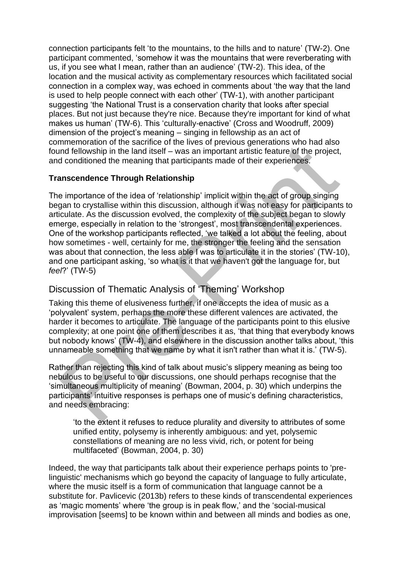connection participants felt 'to the mountains, to the hills and to nature' (TW-2). One participant commented, 'somehow it was the mountains that were reverberating with us, if you see what I mean, rather than an audience' (TW-2). This idea, of the location and the musical activity as complementary resources which facilitated social connection in a complex way, was echoed in comments about 'the way that the land is used to help people connect with each other' (TW-1), with another participant suggesting 'the National Trust is a conservation charity that looks after special places. But not just because they're nice. Because they're important for kind of what makes us human' (TW-6). This 'culturally-enactive' (Cross and Woodruff, 2009) dimension of the project's meaning – singing in fellowship as an act of commemoration of the sacrifice of the lives of previous generations who had also found fellowship in the land itself – was an important artistic feature of the project, and conditioned the meaning that participants made of their experiences.

#### **Transcendence Through Relationship**

The importance of the idea of 'relationship' implicit within the act of group singing began to crystallise within this discussion, although it was not easy for participants to articulate. As the discussion evolved, the complexity of the subject began to slowly emerge, especially in relation to the 'strongest', most transcendental experiences. One of the workshop participants reflected, 'we talked a lot about the feeling, about how sometimes - well, certainly for me, the stronger the feeling and the sensation was about that connection, the less able I was to articulate it in the stories' (TW-10), and one participant asking, 'so what is it that we haven't got the language for, but *feel*?' (TW-5)

#### Discussion of Thematic Analysis of 'Theming' Workshop

Taking this theme of elusiveness further, if one accepts the idea of music as a 'polyvalent' system, perhaps the more these different valences are activated, the harder it becomes to articulate. The language of the participants point to this elusive complexity; at one point one of them describes it as, 'that thing that everybody knows but nobody knows' (TW-4), and elsewhere in the discussion another talks about, 'this unnameable something that we name by what it isn't rather than what it is.' (TW-5).

Rather than rejecting this kind of talk about music's slippery meaning as being too nebulous to be useful to our discussions, one should perhaps recognise that the 'simultaneous multiplicity of meaning' (Bowman, 2004, p. 30) which underpins the participants' intuitive responses is perhaps one of music's defining characteristics, and needs embracing:

'to the extent it refuses to reduce plurality and diversity to attributes of some unified entity, polysemy is inherently ambiguous: and yet, polysemic constellations of meaning are no less vivid, rich, or potent for being multifaceted' (Bowman, 2004, p. 30)

Indeed, the way that participants talk about their experience perhaps points to 'prelinguistic' mechanisms which go beyond the capacity of language to fully articulate, where the music itself is a form of communication that language cannot be a substitute for. Pavlicevic (2013b) refers to these kinds of transcendental experiences as 'magic moments' where 'the group is in peak flow,' and the 'social-musical improvisation [seems] to be known within and between all minds and bodies as one,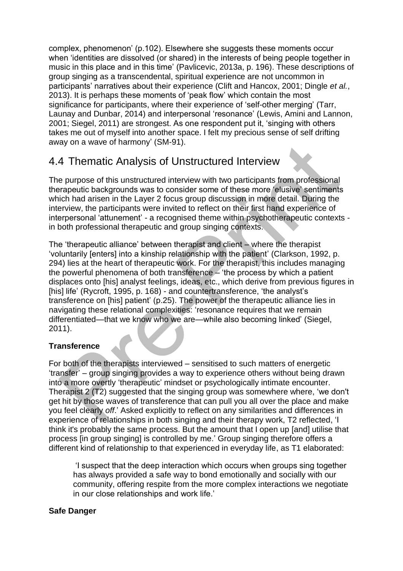complex, phenomenon' (p.102). Elsewhere she suggests these moments occur when 'identities are dissolved (or shared) in the interests of being people together in music in this place and in this time' (Pavlicevic, 2013a, p. 196). These descriptions of group singing as a transcendental, spiritual experience are not uncommon in participants' narratives about their experience (Clift and Hancox, 2001; Dingle *et al.*, 2013). It is perhaps these moments of 'peak flow' which contain the most significance for participants, where their experience of 'self-other merging' (Tarr, Launay and Dunbar, 2014) and interpersonal 'resonance' (Lewis, Amini and Lannon, 2001; Siegel, 2011) are strongest. As one respondent put it, 'singing with others takes me out of myself into another space. I felt my precious sense of self drifting away on a wave of harmony' (SM-91).

## 4.4 Thematic Analysis of Unstructured Interview

The purpose of this unstructured interview with two participants from professional therapeutic backgrounds was to consider some of these more 'elusive' sentiments which had arisen in the Layer 2 focus group discussion in more detail. During the interview, the participants were invited to reflect on their first hand experience of interpersonal 'attunement' - a recognised theme within psychotherapeutic contexts in both professional therapeutic and group singing contexts.

The 'therapeutic alliance' between therapist and client – where the therapist 'voluntarily [enters] into a kinship relationship with the patient' (Clarkson, 1992, p. 294) lies at the heart of therapeutic work. For the therapist, this includes managing the powerful phenomena of both transference  $\mathcal{L}$  the process by which a patient displaces onto [his] analyst feelings, ideas, etc., which derive from previous figures in [his] life' (Rycroft, 1995, p. 168) - and countertransference, 'the analyst's transference on [his] patient' (p.25). The power of the therapeutic alliance lies in navigating these relational complexities: 'resonance requires that we remain differentiated—that we know who we are—while also becoming linked' (Siegel, 2011).

#### **Transference**

For both of the therapists interviewed – sensitised to such matters of energetic 'transfer' – group singing provides a way to experience others without being drawn into a more overtly 'therapeutic' mindset or psychologically intimate encounter. Therapist 2 (T2) suggested that the singing group was somewhere where, 'we don't get hit by those waves of transference that can pull you all over the place and make you feel clearly *off*.' Asked explicitly to reflect on any similarities and differences in experience of relationships in both singing and their therapy work, T2 reflected, 'I think it's probably the same process. But the amount that I open up [and] utilise that process [in group singing] is controlled by me.' Group singing therefore offers a different kind of relationship to that experienced in everyday life, as T1 elaborated:

'I suspect that the deep interaction which occurs when groups sing together has always provided a safe way to bond emotionally and socially with our community, offering respite from the more complex interactions we negotiate in our close relationships and work life.'

#### **Safe Danger**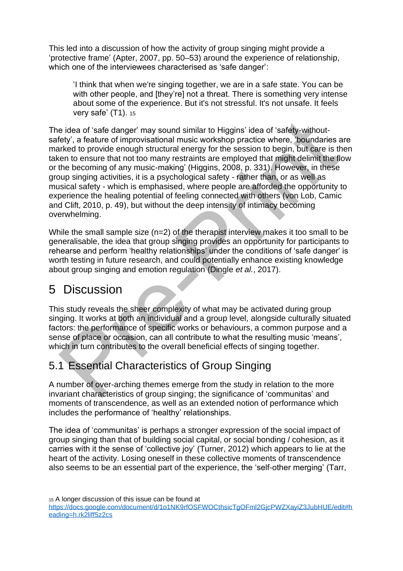This led into a discussion of how the activity of group singing might provide a 'protective frame' (Apter, 2007, pp. 50–53) around the experience of relationship, which one of the interviewees characterised as 'safe danger':

'I think that when we're singing together, we are in a safe state. You can be with other people, and [they're] not a threat. There is something very intense about some of the experience. But it's not stressful. It's not unsafe. It feels very safe' (T1). <sup>15</sup>

The idea of 'safe danger' may sound similar to Higgins' idea of 'safety-withoutsafety', a feature of improvisational music workshop practice where, 'boundaries are marked to provide enough structural energy for the session to begin, but care is then taken to ensure that not too many restraints are employed that might delimit the flow or the becoming of any music-making' (Higgins, 2008, p. 331). However, in these group singing activities, it is a psychological safety - rather than, or as well as musical safety - which is emphasised, where people are afforded the opportunity to experience the healing potential of feeling connected with others (von Lob, Camic and Clift, 2010, p. 49), but without the deep intensity of intimacy becoming overwhelming.

While the small sample size (n=2) of the therapist interview makes it too small to be generalisable, the idea that group singing provides an opportunity for participants to rehearse and perform 'healthy relationships' under the conditions of 'safe danger' is worth testing in future research, and could potentially enhance existing knowledge about group singing and emotion regulation (Dingle *et al.*, 2017).

## 5 Discussion

This study reveals the sheer complexity of what may be activated during group singing. It works at both an individual and a group level, alongside culturally situated factors: the performance of specific works or behaviours, a common purpose and a sense of place or occasion, can all contribute to what the resulting music 'means', which in turn contributes to the overall beneficial effects of singing together.

## 5.1 Essential Characteristics of Group Singing

A number of over-arching themes emerge from the study in relation to the more invariant characteristics of group singing; the significance of 'communitas' and moments of transcendence, as well as an extended notion of performance which includes the performance of 'healthy' relationships.

The idea of 'communitas' is perhaps a stronger expression of the social impact of group singing than that of building social capital, or social bonding / cohesion, as it carries with it the sense of 'collective joy' (Turner, 2012) which appears to lie at the heart of the activity. Losing oneself in these collective moments of transcendence also seems to be an essential part of the experience, the 'self-other merging' (Tarr,

<sup>15</sup> A longer discussion of this issue can be found at [https://docs.google.com/document/d/1o1NK9rfOSFWOCthsicTgOFml2GjcPWZXayiZ3JubHUE/edit#h](https://docs.google.com/document/d/1o1NK9rfOSFWOCthsicTgOFml2GjcPWZXayiZ3JubHUE/edit#heading=h.rk2liff5z2cs) [eading=h.rk2liff5z2cs](https://docs.google.com/document/d/1o1NK9rfOSFWOCthsicTgOFml2GjcPWZXayiZ3JubHUE/edit#heading=h.rk2liff5z2cs)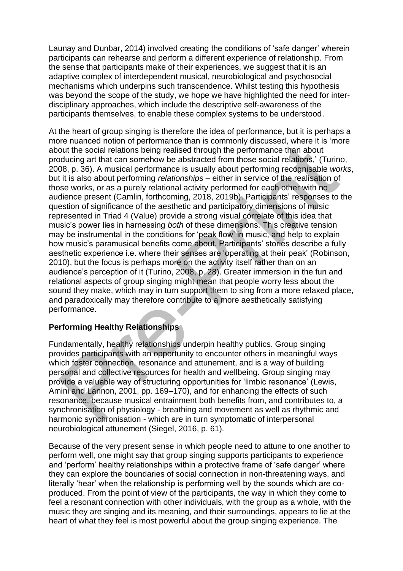Launay and Dunbar, 2014) involved creating the conditions of 'safe danger' wherein participants can rehearse and perform a different experience of relationship. From the sense that participants make of their experiences, we suggest that it is an adaptive complex of interdependent musical, neurobiological and psychosocial mechanisms which underpins such transcendence. Whilst testing this hypothesis was beyond the scope of the study, we hope we have highlighted the need for interdisciplinary approaches, which include the descriptive self-awareness of the participants themselves, to enable these complex systems to be understood.

At the heart of group singing is therefore the idea of performance, but it is perhaps a more nuanced notion of performance than is commonly discussed, where it is 'more about the social relations being realised through the performance than about producing art that can somehow be abstracted from those social relations,' (Turino, 2008, p. 36). A musical performance is usually about performing recognisable *works*, but it is also about performing *relationships* – either in service of the realisation of those works, or as a purely relational activity performed for each other with no audience present (Camlin, forthcoming, 2018, 2019b). Participants' responses to the question of significance of the aesthetic and participatory dimensions of music represented in Triad 4 (Value) provide a strong visual correlate of this idea that music's power lies in harnessing *both* of these dimensions. This creative tension may be instrumental in the conditions for 'peak flow' in music, and help to explain how music's paramusical benefits come about. Participants' stories describe a fully aesthetic experience i.e. where their senses are 'operating at their peak' (Robinson, 2010), but the focus is perhaps more on the activity itself rather than on an audience's perception of it (Turino, 2008, p. 28). Greater immersion in the fun and relational aspects of group singing might mean that people worry less about the sound they make, which may in turn support them to sing from a more relaxed place, and paradoxically may therefore contribute to a more aesthetically satisfying performance.

#### **Performing Healthy Relationships**

Fundamentally, healthy relationships underpin healthy publics. Group singing provides participants with an opportunity to encounter others in meaningful ways which foster connection, resonance and attunement, and is a way of building personal and collective resources for health and wellbeing. Group singing may provide a valuable way of structuring opportunities for 'limbic resonance' (Lewis, Amini and Lannon, 2001, pp. 169–170), and for enhancing the effects of such resonance, because musical entrainment both benefits from, and contributes to, a synchronisation of physiology - breathing and movement as well as rhythmic and harmonic synchronisation - which are in turn symptomatic of interpersonal neurobiological attunement (Siegel, 2016, p. 61).

Because of the very present sense in which people need to attune to one another to perform well, one might say that group singing supports participants to experience and 'perform' healthy relationships within a protective frame of 'safe danger' where they can explore the boundaries of social connection in non-threatening ways, and literally 'hear' when the relationship is performing well by the sounds which are coproduced. From the point of view of the participants, the way in which they come to feel a resonant connection with other individuals, with the group as a whole, with the music they are singing and its meaning, and their surroundings, appears to lie at the heart of what they feel is most powerful about the group singing experience. The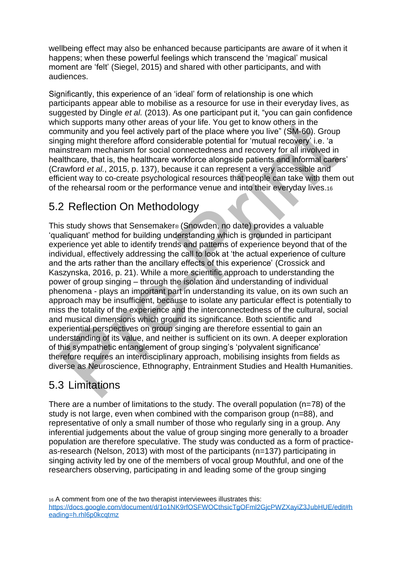wellbeing effect may also be enhanced because participants are aware of it when it happens; when these powerful feelings which transcend the 'magical' musical moment are 'felt' (Siegel, 2015) and shared with other participants, and with audiences.

Significantly, this experience of an 'ideal' form of relationship is one which participants appear able to mobilise as a resource for use in their everyday lives, as suggested by Dingle *et al.* (2013). As one participant put it, "you can gain confidence which supports many other areas of your life. You get to know others in the community and you feel actively part of the place where you live" (SM-60). Group singing might therefore afford considerable potential for 'mutual recovery' i.e. 'a mainstream mechanism for social connectedness and recovery for all involved in healthcare, that is, the healthcare workforce alongside patients and informal carers' (Crawford *et al.*, 2015, p. 137), because it can represent a very accessible and efficient way to co-create psychological resources that people can take with them out of the rehearsal room or the performance venue and into their everyday lives.<sup>16</sup>

## 5.2 Reflection On Methodology

This study shows that Sensemaker® (Snowden, no date) provides a valuable 'qualiquant' method for building understanding which is grounded in participant experience yet able to identify trends and patterns of experience beyond that of the individual, effectively addressing the call to look at 'the actual experience of culture and the arts rather than the ancillary effects of this experience' (Crossick and Kaszynska, 2016, p. 21). While a more scientific approach to understanding the power of group singing – through the isolation and understanding of individual phenomena - plays an important part in understanding its value, on its own such an approach may be insufficient, because to isolate any particular effect is potentially to miss the totality of the experience and the interconnectedness of the cultural, social and musical dimensions which ground its significance. Both scientific and experiential perspectives on group singing are therefore essential to gain an understanding of its value, and neither is sufficient on its own. A deeper exploration of this sympathetic entanglement of group singing's 'polyvalent significance' therefore requires an interdisciplinary approach, mobilising insights from fields as diverse as Neuroscience, Ethnography, Entrainment Studies and Health Humanities.

## 5.3 Limitations

There are a number of limitations to the study. The overall population (n=78) of the study is not large, even when combined with the comparison group (n=88), and representative of only a small number of those who regularly sing in a group. Any inferential judgements about the value of group singing more generally to a broader population are therefore speculative. The study was conducted as a form of practiceas-research (Nelson, 2013) with most of the participants (n=137) participating in singing activity led by one of the members of vocal group Mouthful, and one of the researchers observing, participating in and leading some of the group singing

<sup>16</sup> A comment from one of the two therapist interviewees illustrates this: [https://docs.google.com/document/d/1o1NK9rfOSFWOCthsicTgOFml2GjcPWZXayiZ3JubHUE/edit#h](https://docs.google.com/document/d/1o1NK9rfOSFWOCthsicTgOFml2GjcPWZXayiZ3JubHUE/edit#heading=h.rhl6p0kcqtmz) [eading=h.rhl6p0kcqtmz](https://docs.google.com/document/d/1o1NK9rfOSFWOCthsicTgOFml2GjcPWZXayiZ3JubHUE/edit#heading=h.rhl6p0kcqtmz)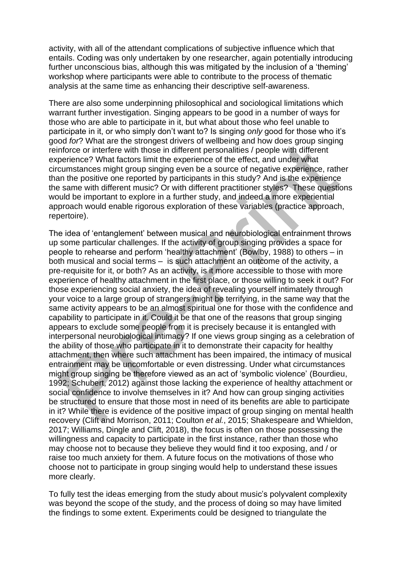activity, with all of the attendant complications of subjective influence which that entails. Coding was only undertaken by one researcher, again potentially introducing further unconscious bias, although this was mitigated by the inclusion of a 'theming' workshop where participants were able to contribute to the process of thematic analysis at the same time as enhancing their descriptive self-awareness.

There are also some underpinning philosophical and sociological limitations which warrant further investigation. Singing appears to be good in a number of ways for those who are able to participate in it, but what about those who feel unable to participate in it, or who simply don't want to? Is singing *only* good for those who it's good *for*? What are the strongest drivers of wellbeing and how does group singing reinforce or interfere with those in different personalities / people with different experience? What factors limit the experience of the effect, and under what circumstances might group singing even be a source of negative experience, rather than the positive one reported by participants in this study? And is the experience the same with different music? Or with different practitioner styles? These questions would be important to explore in a further study, and indeed a more experiential approach would enable rigorous exploration of these variables (practice approach, repertoire).

The idea of 'entanglement' between musical and neurobiological entrainment throws up some particular challenges. If the activity of group singing provides a space for people to rehearse and perform 'healthy attachment' (Bowlby, 1988) to others – in both musical and social terms – is such attachment an outcome of the activity, a pre-requisite for it, or both? As an activity, is it more accessible to those with more experience of healthy attachment in the first place, or those willing to seek it out? For those experiencing social anxiety, the idea of revealing yourself intimately through your voice to a large group of strangers might be terrifying, in the same way that the same activity appears to be an almost spiritual one for those with the confidence and capability to participate in it. Could it be that one of the reasons that group singing appears to exclude some people from it is precisely because it is entangled with interpersonal neurobiological intimacy? If one views group singing as a celebration of the ability of those who participate in it to demonstrate their capacity for healthy attachment, then where such attachment has been impaired, the intimacy of musical entrainment may be uncomfortable or even distressing. Under what circumstances might group singing be therefore viewed as an act of 'symbolic violence' (Bourdieu, 1992; Schubert, 2012) against those lacking the experience of healthy attachment or social confidence to involve themselves in it? And how can group singing activities be structured to ensure that those most in need of its benefits are able to participate in it? While there is evidence of the positive impact of group singing on mental health recovery (Clift and Morrison, 2011; Coulton *et al.*, 2015; Shakespeare and Whieldon, 2017; Williams, Dingle and Clift, 2018), the focus is often on those possessing the willingness and capacity to participate in the first instance, rather than those who may choose not to because they believe they would find it too exposing, and / or raise too much anxiety for them. A future focus on the motivations of those who choose not to participate in group singing would help to understand these issues more clearly.

To fully test the ideas emerging from the study about music's polyvalent complexity was beyond the scope of the study, and the process of doing so may have limited the findings to some extent. Experiments could be designed to triangulate the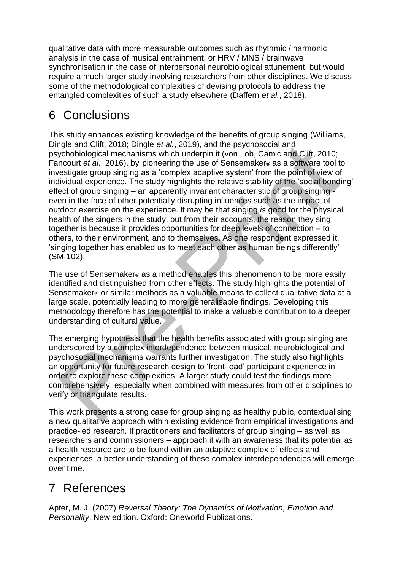qualitative data with more measurable outcomes such as rhythmic / harmonic analysis in the case of musical entrainment, or HRV / MNS / brainwave synchronisation in the case of interpersonal neurobiological attunement, but would require a much larger study involving researchers from other disciplines. We discuss some of the methodological complexities of devising protocols to address the entangled complexities of such a study elsewhere (Daffern *et al.*, 2018).

## 6 Conclusions

This study enhances existing knowledge of the benefits of group singing (Williams, Dingle and Clift, 2018; Dingle *et al.*, 2019), and the psychosocial and psychobiological mechanisms which underpin it (von Lob, Camic and Clift, 2010; Fancourt *et al.*, 2016), by pioneering the use of Sensemaker® as a software tool to investigate group singing as a 'complex adaptive system' from the point of view of individual experience. The study highlights the relative stability of the 'social bonding' effect of group singing – an apparently invariant characteristic of group singing even in the face of other potentially disrupting influences such as the impact of outdoor exercise on the experience. It may be that singing *is* good for the physical health of the singers in the study, but from their accounts, the reason they sing together is because it provides opportunities for deep levels of connection – to others, to their environment, and to themselves. As one respondent expressed it, 'singing together has enabled us to meet each other as human beings differently' (SM-102).

The use of Sensemaker® as a method enables this phenomenon to be more easily identified and distinguished from other effects. The study highlights the potential of Sensemaker® or similar methods as a valuable means to collect qualitative data at a large scale, potentially leading to more generalisable findings. Developing this methodology therefore has the potential to make a valuable contribution to a deeper understanding of cultural value.

The emerging hypothesis that the health benefits associated with group singing are underscored by a complex interdependence between musical, neurobiological and psychosocial mechanisms warrants further investigation. The study also highlights an opportunity for future research design to 'front-load' participant experience in order to explore these complexities. A larger study could test the findings more comprehensively, especially when combined with measures from other disciplines to verify or triangulate results.

This work presents a strong case for group singing as healthy public, contextualising a new qualitative approach within existing evidence from empirical investigations and practice-led research. If practitioners and facilitators of group singing – as well as researchers and commissioners – approach it with an awareness that its potential as a health resource are to be found within an adaptive complex of effects and experiences, a better understanding of these complex interdependencies will emerge over time.

## 7 References

Apter, M. J. (2007) *Reversal Theory: The Dynamics of Motivation, Emotion and Personality*. New edition. Oxford: Oneworld Publications.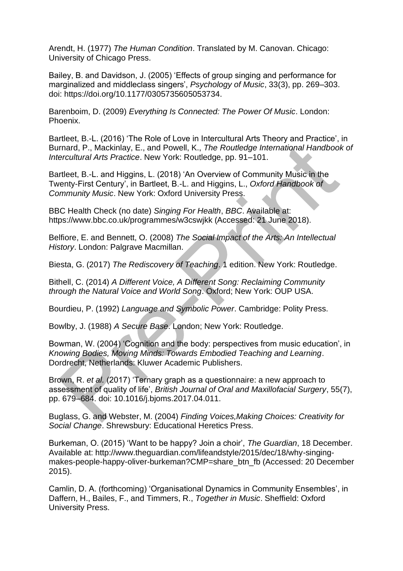Arendt, H. (1977) *The Human Condition*. Translated by M. Canovan. Chicago: University of Chicago Press.

Bailey, B. and Davidson, J. (2005) 'Effects of group singing and performance for marginalized and middleclass singers', *Psychology of Music*, 33(3), pp. 269–303. doi: https://doi.org/10.1177/0305735605053734.

Barenboim, D. (2009) *Everything Is Connected: The Power Of Music*. London: Phoenix.

Bartleet, B.-L. (2016) 'The Role of Love in Intercultural Arts Theory and Practice', in Burnard, P., Mackinlay, E., and Powell, K., *The Routledge International Handbook of Intercultural Arts Practice*. New York: Routledge, pp. 91–101.

Bartleet, B.-L. and Higgins, L. (2018) 'An Overview of Community Music in the Twenty-First Century', in Bartleet, B.-L. and Higgins, L., *Oxford Handbook of Community Music*. New York: Oxford University Press.

BBC Health Check (no date) *Singing For Health*, *BBC*. Available at: https://www.bbc.co.uk/programmes/w3cswjkk (Accessed: 21 June 2018).

Belfiore, E. and Bennett, O. (2008) *The Social Impact of the Arts: An Intellectual History*. London: Palgrave Macmillan.

Biesta, G. (2017) *The Rediscovery of Teaching*. 1 edition. New York: Routledge.

Bithell, C. (2014) *A Different Voice, A Different Song: Reclaiming Community through the Natural Voice and World Song*. Oxford; New York: OUP USA.

Bourdieu, P. (1992) *Language and Symbolic Power*. Cambridge: Polity Press.

Bowlby, J. (1988) *A Secure Base*. London; New York: Routledge.

Bowman, W. (2004) 'Cognition and the body: perspectives from music education', in *Knowing Bodies, Moving Minds: Towards Embodied Teaching and Learning*. Dordrecht, Netherlands: Kluwer Academic Publishers.

Brown, R. *et al.* (2017) 'Ternary graph as a questionnaire: a new approach to assessment of quality of life', *British Journal of Oral and Maxillofacial Surgery*, 55(7), pp. 679–684. doi: 10.1016/j.bjoms.2017.04.011.

Buglass, G. and Webster, M. (2004) *Finding Voices,Making Choices: Creativity for Social Change*. Shrewsbury: Educational Heretics Press.

Burkeman, O. (2015) 'Want to be happy? Join a choir', *The Guardian*, 18 December. Available at: http://www.theguardian.com/lifeandstyle/2015/dec/18/why-singingmakes-people-happy-oliver-burkeman?CMP=share\_btn\_fb (Accessed: 20 December 2015).

Camlin, D. A. (forthcoming) 'Organisational Dynamics in Community Ensembles', in Daffern, H., Bailes, F., and Timmers, R., *Together in Music*. Sheffield: Oxford University Press.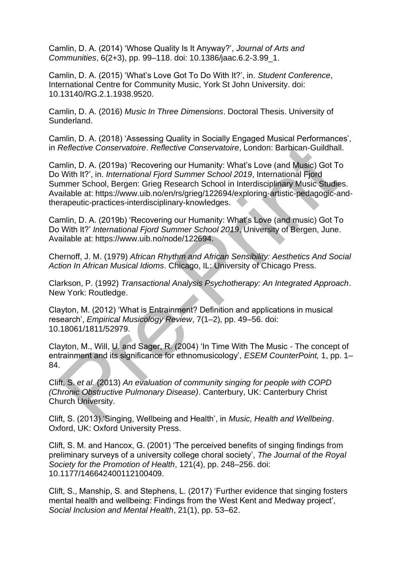Camlin, D. A. (2014) 'Whose Quality Is It Anyway?', *Journal of Arts and Communities*, 6(2+3), pp. 99–118. doi: 10.1386/jaac.6.2-3.99\_1.

Camlin, D. A. (2015) 'What's Love Got To Do With It?', in. *Student Conference*, International Centre for Community Music, York St John University. doi: 10.13140/RG.2.1.1938.9520.

Camlin, D. A. (2016) *Music In Three Dimensions*. Doctoral Thesis. University of Sunderland.

Camlin, D. A. (2018) 'Assessing Quality in Socially Engaged Musical Performances', in *Reflective Conservatoire*. *Reflective Conservatoire*, London: Barbican-Guildhall.

Camlin, D. A. (2019a) 'Recovering our Humanity: What's Love (and Music) Got To Do With It?', in. *International Fjord Summer School 2019*, International Fjord Summer School, Bergen: Grieg Research School in Interdisciplinary Music Studies. Available at: https://www.uib.no/en/rs/grieg/122694/exploring-artistic-pedagogic-andtherapeutic-practices-interdisciplinary-knowledges.

Camlin, D. A. (2019b) 'Recovering our Humanity: What's Love (and music) Got To Do With It?' *International Fjord Summer School 2019*, University of Bergen, June. Available at: https://www.uib.no/node/122694.

Chernoff, J. M. (1979) *African Rhythm and African Sensibility: Aesthetics And Social Action In African Musical Idioms*. Chicago, IL: University of Chicago Press.

Clarkson, P. (1992) *Transactional Analysis Psychotherapy: An Integrated Approach*. New York: Routledge.

Clayton, M. (2012) 'What is Entrainment? Definition and applications in musical research', *Empirical Musicology Review*, 7(1–2), pp. 49–56. doi: 10.18061/1811/52979.

Clayton, M., Will, U. and Sager, R. (2004) 'In Time With The Music - The concept of entrainment and its significance for ethnomusicology', *ESEM CounterPoint,* 1, pp. 1– 84.

Clift, S. *et al.* (2013) *An evaluation of community singing for people with COPD (Chronic Obstructive Pulmonary Disease)*. Canterbury, UK: Canterbury Christ Church University.

Clift, S. (2013) 'Singing, Wellbeing and Health', in *Music, Health and Wellbeing*. Oxford, UK: Oxford University Press.

Clift, S. M. and Hancox, G. (2001) 'The perceived benefits of singing findings from preliminary surveys of a university college choral society', *The Journal of the Royal Society for the Promotion of Health*, 121(4), pp. 248–256. doi: 10.1177/146642400112100409.

Clift, S., Manship, S. and Stephens, L. (2017) 'Further evidence that singing fosters mental health and wellbeing: Findings from the West Kent and Medway project', *Social Inclusion and Mental Health*, 21(1), pp. 53–62.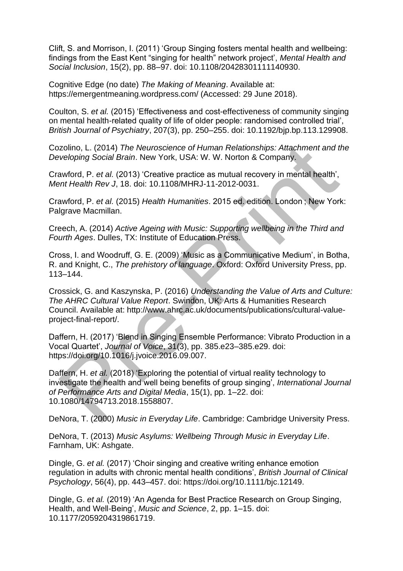Clift, S. and Morrison, I. (2011) 'Group Singing fosters mental health and wellbeing: findings from the East Kent "singing for health" network project', *Mental Health and Social Inclusion*, 15(2), pp. 88–97. doi: 10.1108/20428301111140930.

Cognitive Edge (no date) *The Making of Meaning*. Available at: https://emergentmeaning.wordpress.com/ (Accessed: 29 June 2018).

Coulton, S. *et al.* (2015) 'Effectiveness and cost-effectiveness of community singing on mental health-related quality of life of older people: randomised controlled trial', *British Journal of Psychiatry*, 207(3), pp. 250–255. doi: 10.1192/bjp.bp.113.129908.

Cozolino, L. (2014) *The Neuroscience of Human Relationships: Attachment and the Developing Social Brain*. New York, USA: W. W. Norton & Company.

Crawford, P. *et al.* (2013) 'Creative practice as mutual recovery in mental health', *Ment Health Rev J*, 18. doi: 10.1108/MHRJ-11-2012-0031.

Crawford, P. *et al.* (2015) *Health Humanities*. 2015 ed. edition. London ; New York: Palgrave Macmillan.

Creech, A. (2014) *Active Ageing with Music: Supporting wellbeing in the Third and Fourth Ages*. Dulles, TX: Institute of Education Press.

Cross, I. and Woodruff, G. E. (2009) 'Music as a Communicative Medium', in Botha, R. and Knight, C., *The prehistory of language*. Oxford: Oxford University Press, pp. 113–144.

Crossick, G. and Kaszynska, P. (2016) *Understanding the Value of Arts and Culture: The AHRC Cultural Value Report*. Swindon, UK: Arts & Humanities Research Council. Available at: http://www.ahrc.ac.uk/documents/publications/cultural-valueproject-final-report/.

Daffern, H. (2017) 'Blend in Singing Ensemble Performance: Vibrato Production in a Vocal Quartet', *Journal of Voice*, 31(3), pp. 385.e23–385.e29. doi: https://doi.org/10.1016/j.jvoice.2016.09.007.

Daffern, H. *et al.* (2018) 'Exploring the potential of virtual reality technology to investigate the health and well being benefits of group singing', *International Journal of Performance Arts and Digital Media*, 15(1), pp. 1–22. doi: 10.1080/14794713.2018.1558807.

DeNora, T. (2000) *Music in Everyday Life*. Cambridge: Cambridge University Press.

DeNora, T. (2013) *Music Asylums: Wellbeing Through Music in Everyday Life*. Farnham, UK: Ashgate.

Dingle, G. *et al.* (2017) 'Choir singing and creative writing enhance emotion regulation in adults with chronic mental health conditions', *British Journal of Clinical Psychology*, 56(4), pp. 443–457. doi: https://doi.org/10.1111/bjc.12149.

Dingle, G. *et al.* (2019) 'An Agenda for Best Practice Research on Group Singing, Health, and Well-Being', *Music and Science*, 2, pp. 1–15. doi: 10.1177/2059204319861719.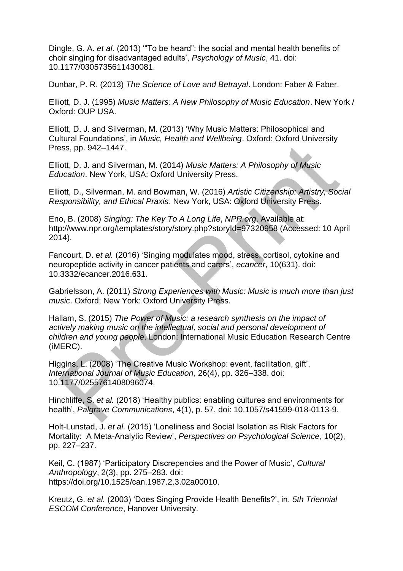Dingle, G. A. *et al.* (2013) '"To be heard": the social and mental health benefits of choir singing for disadvantaged adults', *Psychology of Music*, 41. doi: 10.1177/0305735611430081.

Dunbar, P. R. (2013) *The Science of Love and Betrayal*. London: Faber & Faber.

Elliott, D. J. (1995) *Music Matters: A New Philosophy of Music Education*. New York / Oxford: OUP USA.

Elliott, D. J. and Silverman, M. (2013) 'Why Music Matters: Philosophical and Cultural Foundations', in *Music, Health and Wellbeing*. Oxford: Oxford University Press, pp. 942–1447.

Elliott, D. J. and Silverman, M. (2014) *Music Matters: A Philosophy of Music Education*. New York, USA: Oxford University Press.

Elliott, D., Silverman, M. and Bowman, W. (2016) *Artistic Citizenship: Artistry, Social Responsibility, and Ethical Praxis*. New York, USA: Oxford University Press.

Eno, B. (2008) *Singing: The Key To A Long Life*, *NPR.org*. Available at: http://www.npr.org/templates/story/story.php?storyId=97320958 (Accessed: 10 April 2014).

Fancourt, D. *et al.* (2016) 'Singing modulates mood, stress, cortisol, cytokine and neuropeptide activity in cancer patients and carers', *ecancer*, 10(631). doi: 10.3332/ecancer.2016.631.

Gabrielsson, A. (2011) *Strong Experiences with Music: Music is much more than just music*. Oxford; New York: Oxford University Press.

Hallam, S. (2015) *The Power of Music: a research synthesis on the impact of actively making music on the intellectual, social and personal development of children and young people*. London: International Music Education Research Centre (iMERC).

Higgins, L. (2008) 'The Creative Music Workshop: event, facilitation, gift', *International Journal of Music Education*, 26(4), pp. 326–338. doi: 10.1177/0255761408096074.

Hinchliffe, S. *et al.* (2018) 'Healthy publics: enabling cultures and environments for health', *Palgrave Communications*, 4(1), p. 57. doi: 10.1057/s41599-018-0113-9.

Holt-Lunstad, J. *et al.* (2015) 'Loneliness and Social Isolation as Risk Factors for Mortality: A Meta-Analytic Review', *Perspectives on Psychological Science*, 10(2), pp. 227–237.

Keil, C. (1987) 'Participatory Discrepencies and the Power of Music', *Cultural Anthropology*, 2(3), pp. 275–283. doi: https://doi.org/10.1525/can.1987.2.3.02a00010.

Kreutz, G. *et al.* (2003) 'Does Singing Provide Health Benefits?', in. *5th Triennial ESCOM Conference*, Hanover University.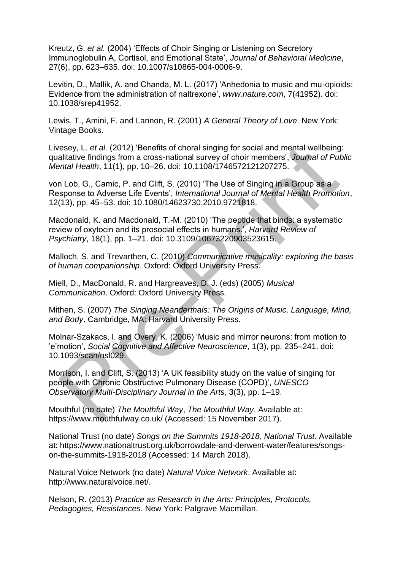Kreutz, G. *et al.* (2004) 'Effects of Choir Singing or Listening on Secretory Immunoglobulin A, Cortisol, and Emotional State', *Journal of Behavioral Medicine*, 27(6), pp. 623–635. doi: 10.1007/s10865-004-0006-9.

Levitin, D., Mallik, A. and Chanda, M. L. (2017) 'Anhedonia to music and mu-opioids: Evidence from the administration of naltrexone', *www.nature.com*, 7(41952). doi: 10.1038/srep41952.

Lewis, T., Amini, F. and Lannon, R. (2001) *A General Theory of Love*. New York: Vintage Books.

Livesey, L. *et al.* (2012) 'Benefits of choral singing for social and mental wellbeing: qualitative findings from a cross-national survey of choir members', *Journal of Public Mental Health*, 11(1), pp. 10–26. doi: 10.1108/1746572121207275.

von Lob, G., Camic, P. and Clift, S. (2010) 'The Use of Singing in a Group as a Response to Adverse Life Events', *International Journal of Mental Health Promotion*, 12(13), pp. 45–53. doi: 10.1080/14623730.2010.9721818.

Macdonald, K. and Macdonald, T.-M. (2010) 'The peptide that binds: a systematic review of oxytocin and its prosocial effects in humans.', *Harvard Review of Psychiatry*, 18(1), pp. 1–21. doi: 10.3109/10673220903523615.

Malloch, S. and Trevarthen, C. (2010) *Communicative musicality: exploring the basis of human companionship*. Oxford: Oxford University Press.

Miell, D., MacDonald, R. and Hargreaves, D. J. (eds) (2005) *Musical Communication*. Oxford: Oxford University Press.

Mithen, S. (2007) *The Singing Neanderthals: The Origins of Music, Language, Mind, and Body*. Cambridge, MA: Harvard University Press.

Molnar-Szakacs, I. and Overy, K. (2006) 'Music and mirror neurons: from motion to 'e'motion', *Social Cognitive and Affective Neuroscience*, 1(3), pp. 235–241. doi: 10.1093/scan/nsl029.

Morrison, I. and Clift, S. (2013) 'A UK feasibility study on the value of singing for people with Chronic Obstructive Pulmonary Disease (COPD)', *UNESCO Observatory Multi-Disciplinary Journal in the Arts*, 3(3), pp. 1–19.

Mouthful (no date) *The Mouthful Way*, *The Mouthful Way*. Available at: https://www.mouthfulway.co.uk/ (Accessed: 15 November 2017).

National Trust (no date) *Songs on the Summits 1918-2018*, *National Trust*. Available at: https://www.nationaltrust.org.uk/borrowdale-and-derwent-water/features/songson-the-summits-1918-2018 (Accessed: 14 March 2018).

Natural Voice Network (no date) *Natural Voice Network*. Available at: http://www.naturalvoice.net/.

Nelson, R. (2013) *Practice as Research in the Arts: Principles, Protocols, Pedagogies, Resistances*. New York: Palgrave Macmillan.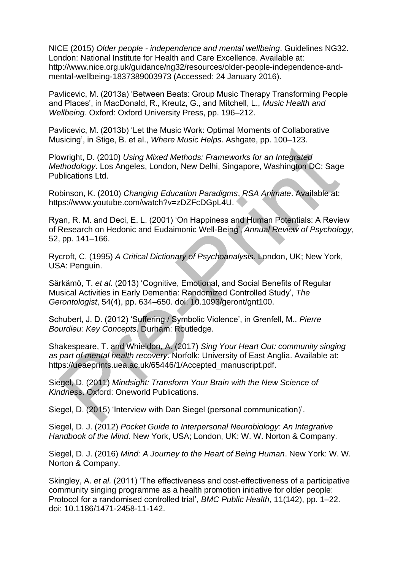NICE (2015) *Older people - independence and mental wellbeing*. Guidelines NG32. London: National Institute for Health and Care Excellence. Available at: http://www.nice.org.uk/guidance/ng32/resources/older-people-independence-andmental-wellbeing-1837389003973 (Accessed: 24 January 2016).

Pavlicevic, M. (2013a) 'Between Beats: Group Music Therapy Transforming People and Places', in MacDonald, R., Kreutz, G., and Mitchell, L., *Music Health and Wellbeing*. Oxford: Oxford University Press, pp. 196–212.

Pavlicevic, M. (2013b) 'Let the Music Work: Optimal Moments of Collaborative Musicing', in Stige, B. et al., *Where Music Helps*. Ashgate, pp. 100–123.

Plowright, D. (2010) *Using Mixed Methods: Frameworks for an Integrated Methodology*. Los Angeles, London, New Delhi, Singapore, Washington DC: Sage Publications Ltd.

Robinson, K. (2010) *Changing Education Paradigms*, *RSA Animate*. Available at: https://www.youtube.com/watch?v=zDZFcDGpL4U.

Ryan, R. M. and Deci, E. L. (2001) 'On Happiness and Human Potentials: A Review of Research on Hedonic and Eudaimonic Well-Being', *Annual Review of Psychology*, 52, pp. 141–166.

Rycroft, C. (1995) *A Critical Dictionary of Psychoanalysis*. London, UK; New York, USA: Penguin.

Särkämö, T. *et al.* (2013) 'Cognitive, Emotional, and Social Benefits of Regular Musical Activities in Early Dementia: Randomized Controlled Study', *The Gerontologist*, 54(4), pp. 634–650. doi: 10.1093/geront/gnt100.

Schubert, J. D. (2012) 'Suffering / Symbolic Violence', in Grenfell, M., *Pierre Bourdieu: Key Concepts*. Durham: Routledge.

Shakespeare, T. and Whieldon, A. (2017) *Sing Your Heart Out: community singing as part of mental health recovery*. Norfolk: University of East Anglia. Available at: https://ueaeprints.uea.ac.uk/65446/1/Accepted\_manuscript.pdf.

Siegel, D. (2011) *Mindsight: Transform Your Brain with the New Science of Kindness*. Oxford: Oneworld Publications.

Siegel, D. (2015) 'Interview with Dan Siegel (personal communication)'.

Siegel, D. J. (2012) *Pocket Guide to Interpersonal Neurobiology: An Integrative Handbook of the Mind*. New York, USA; London, UK: W. W. Norton & Company.

Siegel, D. J. (2016) *Mind: A Journey to the Heart of Being Human*. New York: W. W. Norton & Company.

Skingley, A. *et al.* (2011) 'The effectiveness and cost-effectiveness of a participative community singing programme as a health promotion initiative for older people: Protocol for a randomised controlled trial', *BMC Public Health*, 11(142), pp. 1–22. doi: 10.1186/1471-2458-11-142.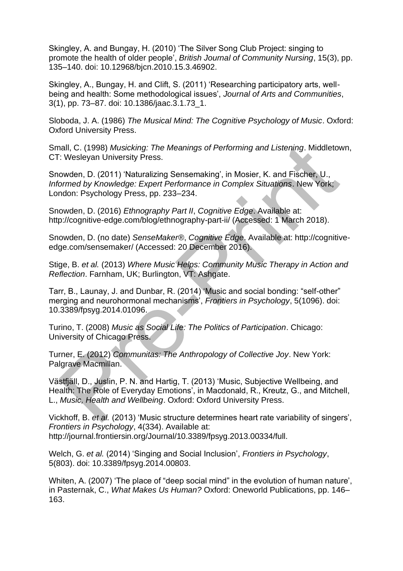Skingley, A. and Bungay, H. (2010) 'The Silver Song Club Project: singing to promote the health of older people', *British Journal of Community Nursing*, 15(3), pp. 135–140. doi: 10.12968/bjcn.2010.15.3.46902.

Skingley, A., Bungay, H. and Clift, S. (2011) 'Researching participatory arts, wellbeing and health: Some methodological issues', *Journal of Arts and Communities*, 3(1), pp. 73–87. doi: 10.1386/jaac.3.1.73\_1.

Sloboda, J. A. (1986) *The Musical Mind: The Cognitive Psychology of Music*. Oxford: Oxford University Press.

Small, C. (1998) *Musicking: The Meanings of Performing and Listening*. Middletown, CT: Wesleyan University Press.

Snowden, D. (2011) 'Naturalizing Sensemaking', in Mosier, K. and Fischer, U., *Informed by Knowledge: Expert Performance in Complex Situations*. New York; London: Psychology Press, pp. 233–234.

Snowden, D. (2016) *Ethnography Part II*, *Cognitive Edge*. Available at: http://cognitive-edge.com/blog/ethnography-part-ii/ (Accessed: 1 March 2018).

Snowden, D. (no date) *SenseMaker®*, *Cognitive Edge*. Available at: http://cognitiveedge.com/sensemaker/ (Accessed: 20 December 2016).

Stige, B. *et al.* (2013) *Where Music Helps: Community Music Therapy in Action and Reflection*. Farnham, UK; Burlington, VT: Ashgate.

Tarr, B., Launay, J. and Dunbar, R. (2014) 'Music and social bonding: "self-other" merging and neurohormonal mechanisms', *Frontiers in Psychology*, 5(1096). doi: 10.3389/fpsyg.2014.01096.

Turino, T. (2008) *Music as Social Life: The Politics of Participation*. Chicago: University of Chicago Press.

Turner, E. (2012) *Communitas: The Anthropology of Collective Joy*. New York: Palgrave Macmillan.

Västfjäll, D., Juslin, P. N. and Hartig, T. (2013) 'Music, Subjective Wellbeing, and Health: The Role of Everyday Emotions', in Macdonald, R., Kreutz, G., and Mitchell, L., *Music, Health and Wellbeing*. Oxford: Oxford University Press.

Vickhoff, B. *et al.* (2013) 'Music structure determines heart rate variability of singers', *Frontiers in Psychology*, 4(334). Available at: http://journal.frontiersin.org/Journal/10.3389/fpsyg.2013.00334/full.

Welch, G. *et al.* (2014) 'Singing and Social Inclusion', *Frontiers in Psychology*, 5(803). doi: 10.3389/fpsyg.2014.00803.

Whiten, A. (2007) 'The place of "deep social mind" in the evolution of human nature', in Pasternak, C., *What Makes Us Human?* Oxford: Oneworld Publications, pp. 146– 163.